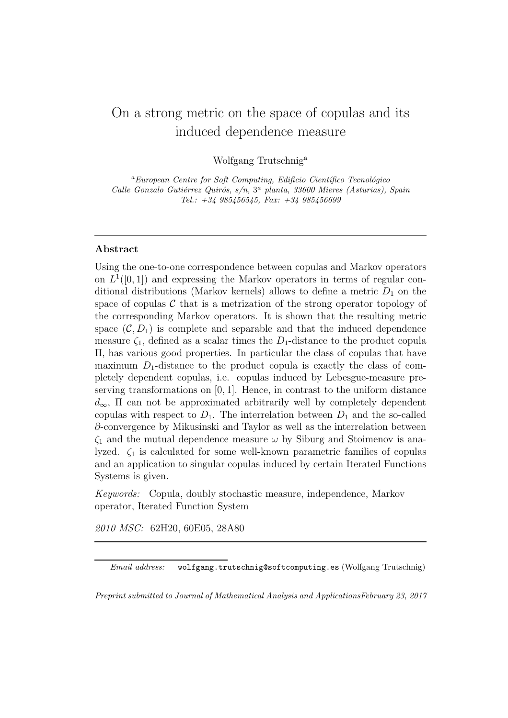# On a strong metric on the space of copulas and its induced dependence measure

Wolfgang Trutschnig<sup>a</sup>

 ${}^a$ European Centre for Soft Computing, Edificio Científico Tecnológico Calle Gonzalo Gutiérrez Quirós,  $s/n$ ,  $3<sup>a</sup>$  planta, 33600 Mieres (Asturias), Spain Tel.: +34 985456545, Fax: +34 985456699

## Abstract

Using the one-to-one correspondence between copulas and Markov operators on  $L^1([0,1])$  and expressing the Markov operators in terms of regular conditional distributions (Markov kernels) allows to define a metric  $D_1$  on the space of copulas  $\mathcal C$  that is a metrization of the strong operator topology of the corresponding Markov operators. It is shown that the resulting metric space  $(C, D_1)$  is complete and separable and that the induced dependence measure  $\zeta_1$ , defined as a scalar times the  $D_1$ -distance to the product copula Π, has various good properties. In particular the class of copulas that have maximum  $D_1$ -distance to the product copula is exactly the class of completely dependent copulas, i.e. copulas induced by Lebesgue-measure preserving transformations on  $[0, 1]$ . Hence, in contrast to the uniform distance  $d_{\infty}$ , II can not be approximated arbitrarily well by completely dependent copulas with respect to  $D_1$ . The interrelation between  $D_1$  and the so-called ∂-convergence by Mikusinski and Taylor as well as the interrelation between  $\zeta_1$  and the mutual dependence measure  $\omega$  by Siburg and Stoimenov is analyzed.  $\zeta_1$  is calculated for some well-known parametric families of copulas and an application to singular copulas induced by certain Iterated Functions Systems is given.

Keywords: Copula, doubly stochastic measure, independence, Markov operator, Iterated Function System

2010 MSC: 62H20, 60E05, 28A80

Preprint submitted to Journal of Mathematical Analysis and ApplicationsFebruary 23, 2017

Email address: wolfgang.trutschnig@softcomputing.es (Wolfgang Trutschnig)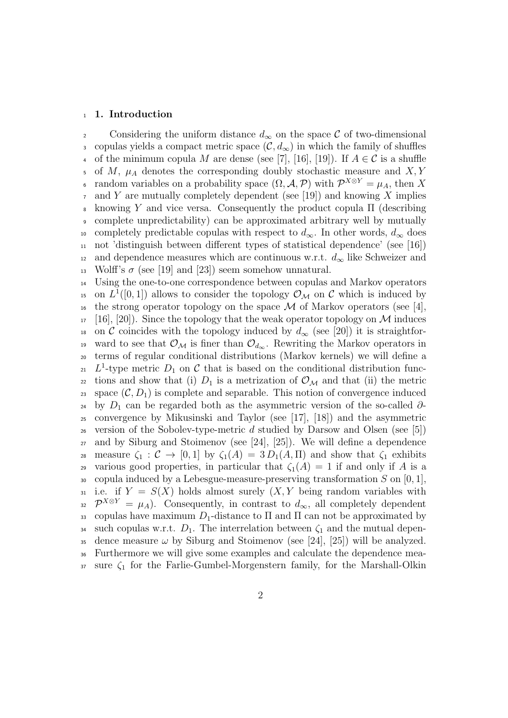#### <sup>1</sup> 1. Introduction

2 Considering the uniform distance  $d_{\infty}$  on the space C of two-dimensional 3 copulas yields a compact metric space  $(C, d_{\infty})$  in which the family of shuffles 4 of the minimum copula M are dense (see [7], [16], [19]). If  $A \in \mathcal{C}$  is a shuffle 5 of M,  $\mu_A$  denotes the corresponding doubly stochastic measure and X, Y a random variables on a probability space  $(\Omega, \mathcal{A}, \mathcal{P})$  with  $\mathcal{P}^{X \otimes Y} = \mu_A$ , then X  $\tau$  and Y are mutually completely dependent (see [19]) and knowing X implies  $\frac{1}{8}$  knowing Y and vice versa. Consequently the product copula Π (describing <sup>9</sup> complete unpredictability) can be approximated arbitrary well by mutually 10 completely predictable copulas with respect to  $d_{\infty}$ . In other words,  $d_{\infty}$  does <sup>11</sup> not 'distinguish between different types of statistical dependence' (see [16]) <sup>12</sup> and dependence measures which are continuous w.r.t.  $d_{\infty}$  like Schweizer and 13 Wolff's  $\sigma$  (see [19] and [23]) seem somehow unnatural.

<sup>14</sup> Using the one-to-one correspondence between copulas and Markov operators <sup>15</sup> on  $L^1([0,1])$  allows to consider the topology  $\mathcal{O}_{\mathcal{M}}$  on C which is induced by <sup>16</sup> the strong operator topology on the space M of Markov operators (see [4],  $17$  [16], [20]). Since the topology that the weak operator topology on M induces 18 on C coincides with the topology induced by  $d_{\infty}$  (see [20]) it is straightfor-19 ward to see that  $\mathcal{O}_\mathcal{M}$  is finer than  $\mathcal{O}_{d_\infty}$ . Rewriting the Markov operators in <sup>20</sup> terms of regular conditional distributions (Markov kernels) we will define a <sup>21</sup>-type metric  $D_1$  on C that is based on the conditional distribution func-22 tions and show that (i)  $D_1$  is a metrization of  $\mathcal{O}_\mathcal{M}$  and that (ii) the metric 23 space  $(C, D_1)$  is complete and separable. This notion of convergence induced <sup>24</sup> by  $D_1$  can be regarded both as the asymmetric version of the so-called  $\partial$ -<sup>25</sup> convergence by Mikusinski and Taylor (see [17], [18]) and the asymmetric <sup>26</sup> version of the Sobolev-type-metric d studied by Darsow and Olsen (see [5]) <sup>27</sup> and by Siburg and Stoimenov (see [24], [25]). We will define a dependence 28 measure  $\zeta_1 : \mathcal{C} \to [0,1]$  by  $\zeta_1(A) = 3 D_1(A,\Pi)$  and show that  $\zeta_1$  exhibits 29 various good properties, in particular that  $\zeta_1(A) = 1$  if and only if A is a 30 copula induced by a Lebesgue-measure-preserving transformation  $S$  on  $[0, 1]$ , 31 i.e. if  $Y = S(X)$  holds almost surely  $(X, Y)$  being random variables with <sup>32</sup>  $\mathcal{P}^{X \otimes Y} = \mu_A$ ). Consequently, in contrast to  $d_{\infty}$ , all completely dependent 33 copulas have maximum  $D_1$ -distance to  $\Pi$  and  $\Pi$  can not be approximated by 34 such copulas w.r.t.  $D_1$ . The interrelation between  $\zeta_1$  and the mutual depen-35 dence measure  $\omega$  by Siburg and Stoimenov (see [24], [25]) will be analyzed. <sup>36</sup> Furthermore we will give some examples and calculate the dependence mea- $37$  sure  $\zeta_1$  for the Farlie-Gumbel-Morgenstern family, for the Marshall-Olkin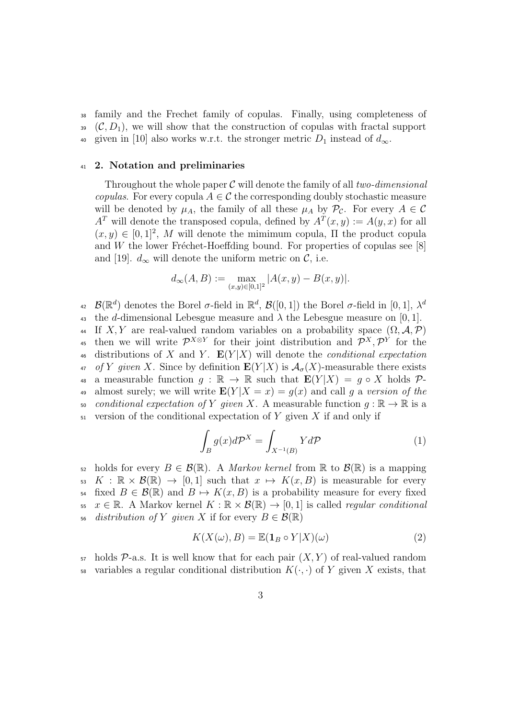<sup>38</sup> family and the Frechet family of copulas. Finally, using completeness of  $(0, D_1)$ , we will show that the construction of copulas with fractal support 40 given in [10] also works w.r.t. the stronger metric  $D_1$  instead of  $d_{\infty}$ .

## <sup>41</sup> 2. Notation and preliminaries

Throughout the whole paper  $\mathcal C$  will denote the family of all two-dimensional copulas. For every copula  $A \in \mathcal{C}$  the corresponding doubly stochastic measure will be denoted by  $\mu_A$ , the family of all these  $\mu_A$  by  $\mathcal{P}_{\mathcal{C}}$ . For every  $A \in \mathcal{C}$  $A<sup>T</sup>$  will denote the transposed copula, defined by  $A<sup>T</sup>(x, y) := A(y, x)$  for all  $(x, y) \in [0, 1]^2$ , M will denote the mimimum copula,  $\Pi$  the product copula and W the lower Fréchet-Hoeffding bound. For properties of copulas see  $[8]$ and [19].  $d_{\infty}$  will denote the uniform metric on C, i.e.

$$
d_{\infty}(A, B) := \max_{(x,y) \in [0,1]^2} |A(x,y) - B(x,y)|.
$$

 $\mathcal{B}(\mathbb{R}^d)$  denotes the Borel  $\sigma$ -field in  $\mathbb{R}^d$ ,  $\mathcal{B}([0,1])$  the Borel  $\sigma$ -field in  $[0,1]$ ,  $\lambda^d$  $42$ 43 the d-dimensional Lebesgue measure and  $\lambda$  the Lebesgue measure on [0, 1]. 44 If X, Y are real-valued random variables on a probability space  $(\Omega, \mathcal{A}, \mathcal{P})$ <sup>45</sup> then we will write  $\mathcal{P}^{X \otimes Y}$  for their joint distribution and  $\mathcal{P}^{X}, \mathcal{P}^{Y}$  for the 46 distributions of X and Y.  $E(Y|X)$  will denote the *conditional expectation* 47 of Y given X. Since by definition  $E(Y|X)$  is  $\mathcal{A}_{\sigma}(X)$ -measurable there exists 48 a measurable function  $q : \mathbb{R} \to \mathbb{R}$  such that  $\mathbf{E}(Y|X) = q \circ X$  holds  $\mathcal{P}$ -49 almost surely; we will write  $E(Y|X=x) = q(x)$  and call q a version of the 50 conditional expectation of Y given X. A measurable function  $g : \mathbb{R} \to \mathbb{R}$  is a  $51$  version of the conditional expectation of Y given X if and only if

$$
\int_{B} g(x)d\mathcal{P}^{X} = \int_{X^{-1}(B)} Yd\mathcal{P}
$$
\n(1)

52 holds for every  $B \in \mathcal{B}(\mathbb{R})$ . A *Markov kernel* from  $\mathbb{R}$  to  $\mathcal{B}(\mathbb{R})$  is a mapping  $53$  K :  $\mathbb{R} \times \mathcal{B}(\mathbb{R}) \to [0, 1]$  such that  $x \mapsto K(x, B)$  is measurable for every 54 fixed  $B \in \mathcal{B}(\mathbb{R})$  and  $B \mapsto K(x, B)$  is a probability measure for every fixed 55  $x \in \mathbb{R}$ . A Markov kernel  $K : \mathbb{R} \times \mathcal{B}(\mathbb{R}) \to [0,1]$  is called *regular conditional* 56 distribution of Y qiven X if for every  $B \in \mathcal{B}(\mathbb{R})$ 

$$
K(X(\omega), B) = \mathbb{E}(\mathbf{1}_B \circ Y | X)(\omega)
$$
 (2)

 $57$  holds  $\mathcal{P}_{\text{-a.s.}}$  It is well know that for each pair  $(X, Y)$  of real-valued random variables a regular conditional distribution  $K(\cdot, \cdot)$  of Y given X exists, that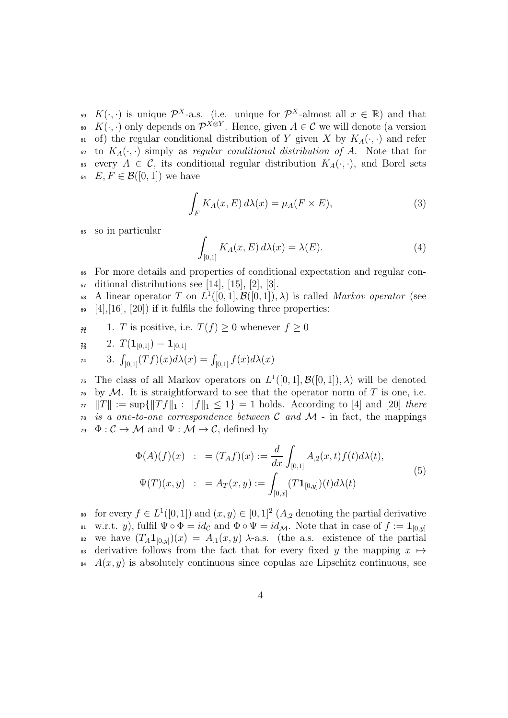<sup>59</sup>  $K(\cdot, \cdot)$  is unique  $\mathcal{P}^{X}$ -a.s. (i.e. unique for  $\mathcal{P}^{X}$ -almost all  $x \in \mathbb{R}$ ) and that 60 K( $\cdot$ ,  $\cdot$ ) only depends on  $\mathcal{P}^{X \otimes Y}$ . Hence, given  $A \in \mathcal{C}$  we will denote (a version 61 of) the regular conditional distribution of Y given X by  $K_A(\cdot, \cdot)$  and refer 62 to  $K_A(\cdot, \cdot)$  simply as regular conditional distribution of A. Note that for every  $A \in \mathcal{C}$ , its conditional regular distribution  $K_A(\cdot, \cdot)$ , and Borel sets 64  $E, F \in \mathcal{B}([0,1])$  we have

$$
\int_{F} K_{A}(x, E) d\lambda(x) = \mu_{A}(F \times E), \tag{3}
$$

so in particular

$$
\int_{[0,1]} K_A(x, E) d\lambda(x) = \lambda(E). \tag{4}
$$

- <sup>66</sup> For more details and properties of conditional expectation and regular con- $\sigma$  ditional distributions see [14], [15], [2], [3].
- 68 A linear operator T on  $L^1([0,1], \mathcal{B}([0,1]), \lambda)$  is called *Markov operator* (see  $\epsilon_{\text{9}}$  [4], [16], [20]) if it fulfils the following three properties:
- $7\eta$  1. T is positive, i.e.  $T(f) \geq 0$  whenever  $f \geq 0$

$$
R_3 \qquad 2. \ T(\mathbf{1}_{[0,1]}) = \mathbf{1}_{[0,1]}
$$

$$
74 \qquad 3. \ \int_{[0,1]} (Tf)(x) d\lambda(x) = \int_{[0,1]} f(x) d\lambda(x)
$$

<sup>75</sup> The class of all Markov operators on  $L^1([0,1], \mathcal{B}([0,1]), \lambda)$  will be denoted  $\tau$ <sup>6</sup> by M. It is straightforward to see that the operator norm of T is one, i.e.  $\pi \|T\| := \sup\{\|Tf\|_1 : \|f\|_1 \leq 1\} = 1$  holds. According to [4] and [20] there  $\tau$ <sup>8</sup> is a one-to-one correspondence between C and M - in fact, the mappings  $\varphi: \mathcal{C} \to \mathcal{M}$  and  $\Psi: \mathcal{M} \to \mathcal{C}$ , defined by

$$
\Phi(A)(f)(x) : = (T_A f)(x) := \frac{d}{dx} \int_{[0,1]} A_{,2}(x,t) f(t) d\lambda(t),
$$
  

$$
\Psi(T)(x,y) : = A_T(x,y) := \int_{[0,x]} (T\mathbf{1}_{[0,y]}) (t) d\lambda(t)
$$
\n(5)

so for every  $f \in L^1([0,1])$  and  $(x, y) \in [0,1]^2$   $(A_{,2})$  denoting the partial derivative w.r.t. y), fulfil  $\Psi \circ \Phi = id_{\mathcal{C}}$  and  $\Phi \circ \Psi = id_{\mathcal{M}}$ . Note that in case of  $f := \mathbf{1}_{[0,y]}$ 81 82 we have  $(T_A1_{[0,y]})(x) = A_{,1}(x,y)$   $\lambda$ -a.s. (the a.s. existence of the partial 83 derivative follows from the fact that for every fixed y the mapping  $x \mapsto$  $A(x, y)$  is absolutely continuous since copulas are Lipschitz continuous, see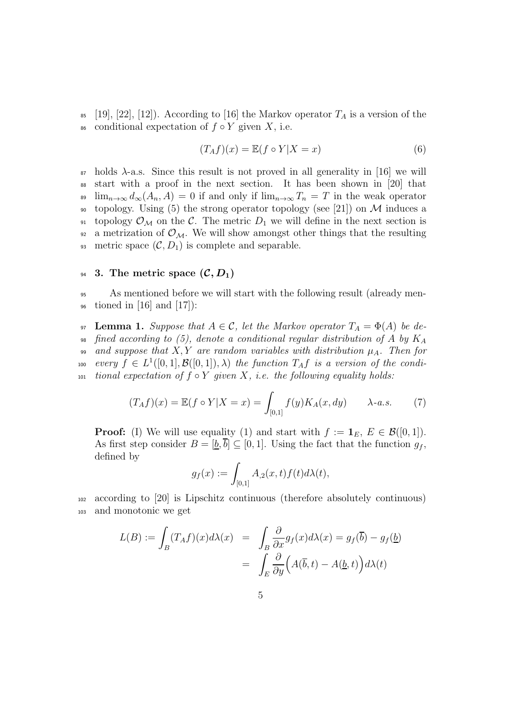85 [19], [22], [12]). According to [16] the Markov operator  $T_A$  is a version of the 86 conditional expectation of  $f \circ Y$  given X, i.e.

$$
(T_A f)(x) = \mathbb{E}(f \circ Y | X = x)
$$
\n<sup>(6)</sup>

 $\delta$ <sup>87</sup> holds  $\lambda$ -a.s. Since this result is not proved in all generality in [16] we will <sup>88</sup> start with a proof in the next section. It has been shown in [20] that <sup>89</sup>  $\lim_{n\to\infty} d_{\infty}(A_n, A) = 0$  if and only if  $\lim_{n\to\infty} T_n = T$  in the weak operator 90 topology. Using (5) the strong operator topology (see [21]) on M induces a 91 topology  $\mathcal{O}_M$  on the C. The metric  $D_1$  we will define in the next section is 92 a metrization of  $\mathcal{O}_M$ . We will show amongst other things that the resulting 93 metric space  $(C, D_1)$  is complete and separable.

## 94 3. The metric space  $(C, D_1)$

<sup>95</sup> As mentioned before we will start with the following result (already men- $\frac{1}{96}$  tioned in [16] and [17]):

97 **Lemma 1.** Suppose that  $A \in \mathcal{C}$ , let the Markov operator  $T_A = \Phi(A)$  be de-98 fined according to (5), denote a conditional regular distribution of A by  $K_A$ 99 and suppose that  $X, Y$  are random variables with distribution  $\mu_A$ . Then for 100 every  $f \in L^1([0,1], \mathcal{B}([0,1]), \lambda)$  the function  $T_A f$  is a version of the condi-101 tional expectation of  $f \circ Y$  given  $X$ , i.e. the following equality holds:

$$
(T_A f)(x) = \mathbb{E}(f \circ Y | X = x) = \int_{[0,1]} f(y) K_A(x, dy) \qquad \lambda \text{-} a.s. \tag{7}
$$

**Proof:** (I) We will use equality (1) and start with  $f := \mathbf{1}_E, E \in \mathcal{B}([0,1])$ . As first step consider  $B = [\underline{b}, \overline{b}] \subseteq [0, 1]$ . Using the fact that the function  $g_f$ , defined by

$$
g_f(x) := \int_{[0,1]} A_{,2}(x,t) f(t) d\lambda(t),
$$

<sup>102</sup> according to [20] is Lipschitz continuous (therefore absolutely continuous) <sup>103</sup> and monotonic we get

$$
L(B) := \int_B (T_A f)(x) d\lambda(x) = \int_B \frac{\partial}{\partial x} g_f(x) d\lambda(x) = g_f(\overline{b}) - g_f(\underline{b})
$$

$$
= \int_E \frac{\partial}{\partial y} \Big( A(\overline{b}, t) - A(\underline{b}, t) \Big) d\lambda(t)
$$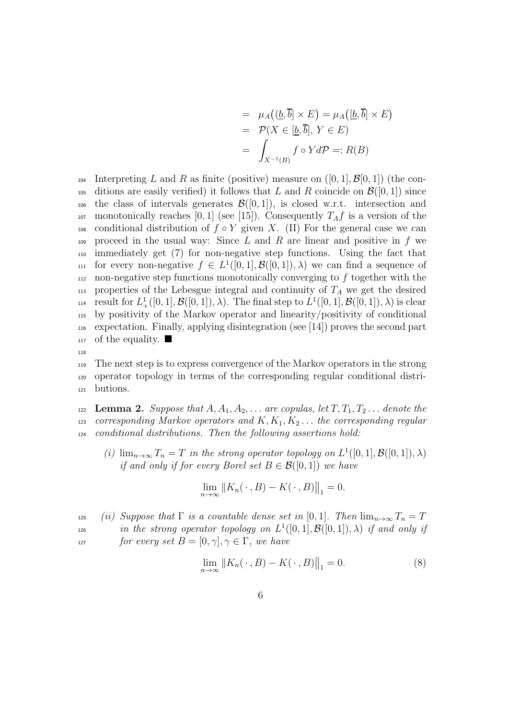$$
= \mu_A((\underline{b}, \overline{b}] \times E) = \mu_A([\underline{b}, \overline{b}] \times E)
$$
  
=  $\mathcal{P}(X \in [\underline{b}, \overline{b}], Y \in E)$   
=  $\int_{X^{-1}(B)} f \circ Y d\mathcal{P} =: R(B)$ 

104 Interpreting L and R as finite (positive) measure on  $([0, 1], \mathcal{B}[0, 1])$  (the con-105 ditions are easily verified) it follows that L and R coincide on  $\mathcal{B}([0, 1])$  since 106 the class of intervals generates  $\mathcal{B}([0,1])$ , is closed w.r.t. intersection and 107 monotonically reaches [0, 1] (see [15]). Consequently  $T_A f$  is a version of the 108 conditional distribution of  $f \circ Y$  given X. (II) For the general case we can 109 proceed in the usual way: Since L and R are linear and positive in f we <sup>110</sup> immediately get (7) for non-negative step functions. Using the fact that 111 for every non-negative  $f \in L^1([0,1], \mathcal{B}([0,1]), \lambda)$  we can find a sequence of  $112$  non-negative step functions monotonically converging to f together with the  $_{113}$  properties of the Lebesgue integral and continuity of  $T_A$  we get the desired <sup>114</sup> result for  $L^1_+([0,1], \mathcal{B}([0,1]), \lambda)$ . The final step to  $L^1([0,1], \mathcal{B}([0,1]), \lambda)$  is clear <sup>115</sup> by positivity of the Markov operator and linearity/positivity of conditional <sup>116</sup> expectation. Finally, applying disintegration (see [14]) proves the second part 117 of the equality.  $\blacksquare$ 

118

<sup>119</sup> The next step is to express convergence of the Markov operators in the strong <sup>120</sup> operator topology in terms of the corresponding regular conditional distri-<sup>121</sup> butions.

122 Lemma 2. Suppose that  $A, A_1, A_2, \ldots$  are copulas, let  $T, T_1, T_2, \ldots$  denote the 123 corresponding Markov operators and  $K, K_1, K_2, \ldots$  the corresponding regular <sup>124</sup> conditional distributions. Then the following assertions hold:

(i)  $\lim_{n\to\infty} T_n = T$  in the strong operator topology on  $L^1([0,1], \mathcal{B}([0,1]), \lambda)$ if and only if for every Borel set  $B \in \mathcal{B}([0,1])$  we have

$$
\lim_{n \to \infty} ||K_n(\cdot, B) - K(\cdot, B)||_1 = 0.
$$

- 125 (ii) Suppose that  $\Gamma$  is a countable dense set in [0, 1]. Then  $\lim_{n\to\infty}T_n=T$
- <sup>126</sup> in the strong operator topology on  $L^1([0,1],\mathcal{B}([0,1]),\lambda)$  if and only if <sup>127</sup> for every set  $B = [0, \gamma], \gamma \in \Gamma$ , we have

$$
\lim_{n \to \infty} ||K_n(\,\cdot\,,B) - K(\,\cdot\,,B)||_1 = 0.
$$
 (8)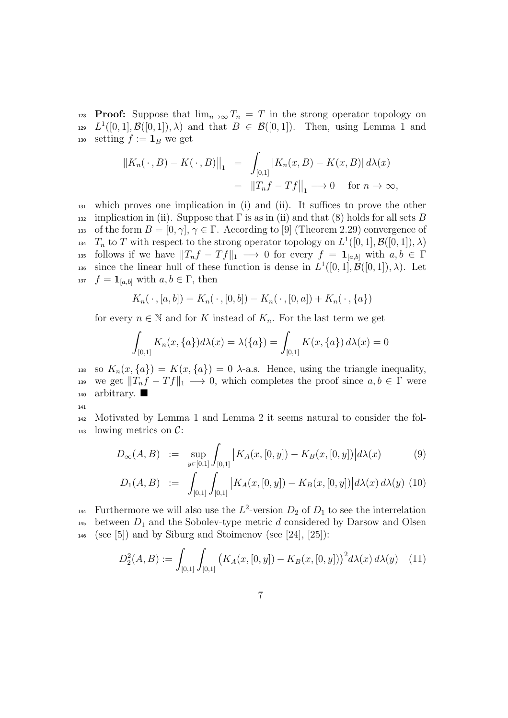128 **Proof:** Suppose that  $\lim_{n\to\infty} T_n = T$  in the strong operator topology on <sup>129</sup>  $L^1([0,1], \mathcal{B}([0,1]), \lambda)$  and that  $B \in \mathcal{B}([0,1])$ . Then, using Lemma 1 and 130 setting  $f := \mathbf{1}_B$  we get

$$
\begin{aligned} \left\|K_n(\,\cdot\,,B) - K(\,\cdot\,,B)\right\|_1 &= \int_{[0,1]} \left|K_n(x,B) - K(x,B)\right| d\lambda(x) \\ &= \left\|T_nf - Tf\right\|_1 \longrightarrow 0 \quad \text{for } n \to \infty, \end{aligned}
$$

<sup>131</sup> which proves one implication in (i) and (ii). It suffices to prove the other 132 implication in (ii). Suppose that  $\Gamma$  is as in (ii) and that (8) holds for all sets B 133 of the form  $B = [0, \gamma], \gamma \in \Gamma$ . According to [9] (Theorem 2.29) convergence of <sup>134</sup>  $T_n$  to T with respect to the strong operator topology on  $L^1([0,1], \mathcal{B}([0,1]), \lambda)$ 135 follows if we have  $||T_nf-Tf||_1 \longrightarrow 0$  for every  $f = \mathbf{1}_{[a,b]}$  with  $a, b \in \Gamma$ <sup>136</sup> since the linear hull of these function is dense in  $L^1([0,1], \mathcal{B}([0,1]), \lambda)$ . Let 137  $f = \mathbf{1}_{[a,b]}$  with  $a, b \in \Gamma$ , then

$$
K_n(\,\cdot\,,[a,b])=K_n(\,\cdot\,,[0,b])-K_n(\,\cdot\,,[0,a])+K_n(\,\cdot\,,\{a\})
$$

for every  $n \in \mathbb{N}$  and for K instead of  $K_n$ . For the last term we get

$$
\int_{[0,1]} K_n(x,\{a\})d\lambda(x) = \lambda(\{a\}) = \int_{[0,1]} K(x,\{a\})d\lambda(x) = 0
$$

138 so  $K_n(x,\{a\}) = K(x,\{a\}) = 0$   $\lambda$ -a.s. Hence, using the triangle inequality, 139 we get  $||T_nf - Tf||_1 \longrightarrow 0$ , which completes the proof since  $a, b \in \Gamma$  were 140 arbitrary.

141

<sup>142</sup> Motivated by Lemma 1 and Lemma 2 it seems natural to consider the fol- $_{143}$  lowing metrics on  $\mathcal{C}$ :

$$
D_{\infty}(A, B) := \sup_{y \in [0,1]} \int_{[0,1]} |K_A(x, [0, y]) - K_B(x, [0, y])| d\lambda(x) \tag{9}
$$

$$
D_1(A, B) \quad := \quad \int_{[0,1]} \int_{[0,1]} \left| K_A(x, [0, y]) - K_B(x, [0, y]) \right| d\lambda(x) \, d\lambda(y) \tag{10}
$$

<sup>144</sup> Furthermore we will also use the  $L^2$ -version  $D_2$  of  $D_1$  to see the interrelation 145 between  $D_1$  and the Sobolev-type metric d considered by Darsow and Olsen 146 (see [5]) and by Siburg and Stoimenov (see [24], [25]):

$$
D_2^2(A, B) := \int_{[0,1]} \int_{[0,1]} \left( K_A(x, [0, y]) - K_B(x, [0, y]) \right)^2 d\lambda(x) d\lambda(y) \tag{11}
$$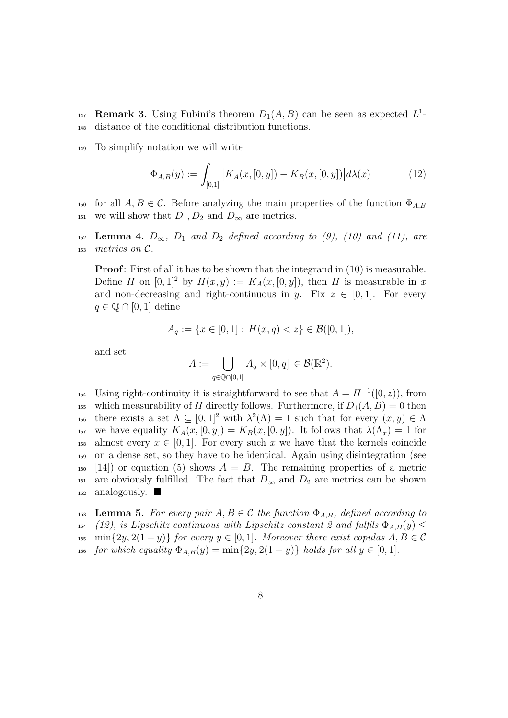- 147 **Remark 3.** Using Fubini's theorem  $D_1(A, B)$  can be seen as expected  $L^1$ -<sup>148</sup> distance of the conditional distribution functions.
- <sup>149</sup> To simplify notation we will write

$$
\Phi_{A,B}(y) := \int_{[0,1]} |K_A(x,[0,y]) - K_B(x,[0,y])| d\lambda(x) \tag{12}
$$

150 for all  $A, B \in \mathcal{C}$ . Before analyzing the main properties of the function  $\Phi_{A,B}$ 151 we will show that  $D_1, D_2$  and  $D_{\infty}$  are metrics.

152 **Lemma 4.**  $D_{\infty}$ ,  $D_1$  and  $D_2$  defined according to (9), (10) and (11), are  $153$  metrics on C.

Proof: First of all it has to be shown that the integrand in (10) is measurable. Define H on  $[0, 1]^2$  by  $H(x, y) := K_A(x, [0, y])$ , then H is measurable in x and non-decreasing and right-continuous in y. Fix  $z \in [0, 1]$ . For every  $q \in \mathbb{Q} \cap [0,1]$  define

$$
A_q := \{ x \in [0,1] : H(x,q) < z \} \in \mathcal{B}([0,1]),
$$

and set

$$
A := \bigcup_{q \in \mathbb{Q} \cap [0,1]} A_q \times [0,q] \in \mathcal{B}(\mathbb{R}^2).
$$

<sup>154</sup> Using right-continuity it is straightforward to see that  $A = H^{-1}([0, z))$ , from <sup>155</sup> which measurability of H directly follows. Furthermore, if  $D_1(A, B) = 0$  then 156 there exists a set  $\Lambda \subseteq [0,1]^2$  with  $\lambda^2(\Lambda) = 1$  such that for every  $(x, y) \in \Lambda$ 157 we have equality  $K_A(x,[0,y]) = K_B(x,[0,y])$ . It follows that  $\lambda(\Lambda_x) = 1$  for <sup>158</sup> almost every  $x \in [0,1]$ . For every such x we have that the kernels coincide <sup>159</sup> on a dense set, so they have to be identical. Again using disintegration (see  $_{160}$  [14]) or equation (5) shows  $A = B$ . The remaining properties of a metric 161 are obviously fulfilled. The fact that  $D_{\infty}$  and  $D_2$  are metrics can be shown  $_{162}$  analogously.

163 Lemma 5. For every pair  $A, B \in \mathcal{C}$  the function  $\Phi_{A,B}$ , defined according to 164 (12), is Lipschitz continuous with Lipschitz constant 2 and fulfils  $\Phi_{A,B}(y) \leq$ 165 min $\{2y, 2(1-y)\}\$ for every  $y \in [0, 1]$ . Moreover there exist copulas  $A, B \in \mathcal{C}$ 166 for which equality  $\Phi_{A,B}(y) = \min\{2y, 2(1-y)\}\$ holds for all  $y \in [0,1].$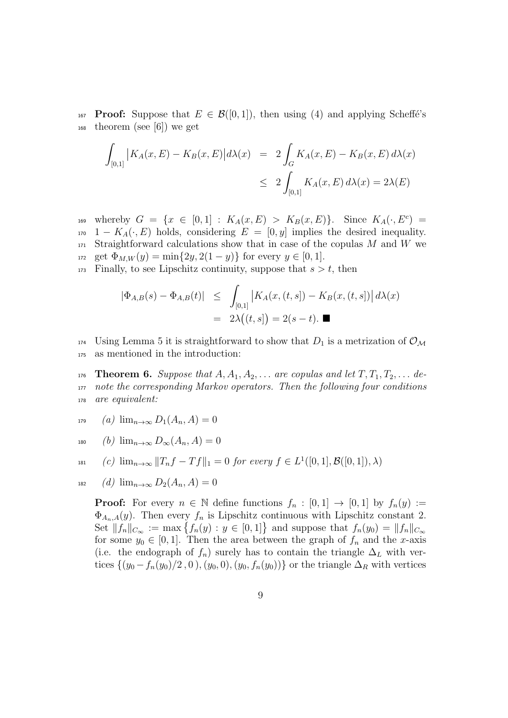167 **Proof:** Suppose that  $E \in \mathcal{B}([0,1])$ , then using (4) and applying Scheffé's <sup>168</sup> theorem (see [6]) we get

$$
\int_{[0,1]} |K_A(x, E) - K_B(x, E)| d\lambda(x) = 2 \int_G K_A(x, E) - K_B(x, E) d\lambda(x)
$$
  

$$
\leq 2 \int_{[0,1]} K_A(x, E) d\lambda(x) = 2\lambda(E)
$$

169 whereby  $G = \{x \in [0,1] : K_A(x,E) > K_B(x,E)\}\.$  Since  $K_A(\cdot, E^c) =$  $170 \quad 1 - K_A(\cdot, E)$  holds, considering  $E = [0, y]$  implies the desired inequality.  $171$  Straightforward calculations show that in case of the copulas M and W we 172 get  $\Phi_{M,W}(y) = \min\{2y, 2(1-y)\}\)$  for every  $y \in [0, 1]$ .

 $173$  Finally, to see Lipschitz continuity, suppose that  $s > t$ , then

$$
\begin{array}{rcl} |\Phi_{A,B}(s) - \Phi_{A,B}(t)| & \leq & \int_{[0,1]} \left| K_A(x,(t,s]) - K_B(x,(t,s]) \right| d\lambda(x) \\ & = & 2\lambda\big((t,s]\big) = 2(s-t). \end{array}
$$

<sup>174</sup> Using Lemma 5 it is straightforward to show that  $D_1$  is a metrization of  $\mathcal{O}_{\mathcal{M}}$ <sup>175</sup> as mentioned in the introduction:

176 **Theorem 6.** Suppose that  $A, A_1, A_2, \ldots$  are copulas and let  $T, T_1, T_2, \ldots$  de-<sup>177</sup> note the corresponding Markov operators. Then the following four conditions <sup>178</sup> are equivalent:

179 (a)  $\lim_{n\to\infty} D_1(A_n, A) = 0$ 

$$
180 \qquad (b) \ \lim_{n \to \infty} D_{\infty}(A_n, A) = 0
$$

$$
u_{131} \qquad (c) \ \lim_{n \to \infty} ||T_n f - Tf||_1 = 0 \ \text{for every} \ f \in L^1([0,1], \mathcal{B}([0,1]), \lambda)
$$

$$
182 \qquad (d) \ \lim_{n \to \infty} D_2(A_n, A) = 0
$$

**Proof:** For every  $n \in \mathbb{N}$  define functions  $f_n : [0,1] \rightarrow [0,1]$  by  $f_n(y) :=$  $\Phi_{A_n,A}(y)$ . Then every  $f_n$  is Lipschitz continuous with Lipschitz constant 2. Set  $||f_n||_{C_{\infty}} := \max \{f_n(y) : y \in [0,1]\}$  and suppose that  $f_n(y_0) = ||f_n||_{C_{\infty}}$ for some  $y_0 \in [0, 1]$ . Then the area between the graph of  $f_n$  and the x-axis (i.e. the endograph of  $f_n$ ) surely has to contain the triangle  $\Delta_L$  with vertices  $\{(y_0 - f_n(y_0)/2, 0), (y_0, 0), (y_0, f_n(y_0))\}$  or the triangle  $\Delta_R$  with vertices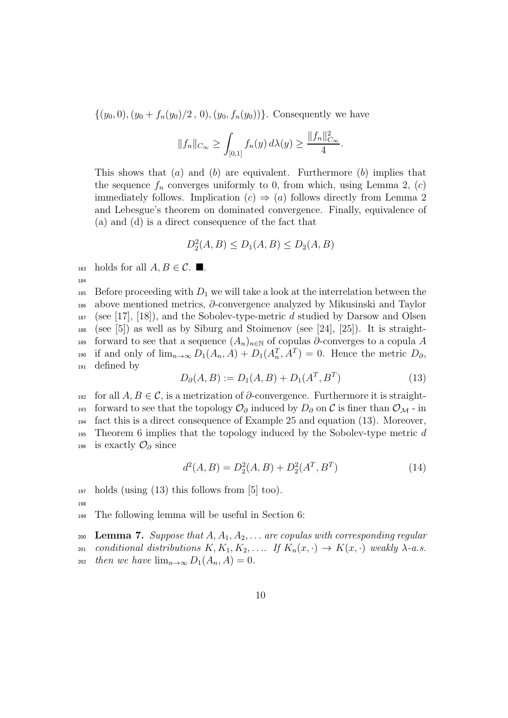$\{(y_0, 0), (y_0 + f_n(y_0)/2, 0), (y_0, f_n(y_0))\}.$  Consequently we have

$$
||f_n||_{C_{\infty}} \ge \int_{[0,1]} f_n(y) d\lambda(y) \ge \frac{||f_n||^2_{C_{\infty}}}{4}.
$$

This shows that  $(a)$  and  $(b)$  are equivalent. Furthermore  $(b)$  implies that the sequence  $f_n$  converges uniformly to 0, from which, using Lemma 2,  $(c)$ immediately follows. Implication  $(c) \Rightarrow (a)$  follows directly from Lemma 2 and Lebesgue's theorem on dominated convergence. Finally, equivalence of (a) and (d) is a direct consequence of the fact that

$$
D_2^2(A, B) \le D_1(A, B) \le D_2(A, B)
$$

183 holds for all  $A, B \in \mathcal{C}$ .

185 Before proceeding with  $D_1$  we will take a look at the interrelation between the <sup>186</sup> above mentioned metrics, ∂-convergence analyzed by Mikusinski and Taylor  $187$  (see [17], [18]), and the Sobolev-type-metric d studied by Darsow and Olsen <sup>188</sup> (see [5]) as well as by Siburg and Stoimenov (see [24], [25]). It is straight-189 forward to see that a sequence  $(A_n)_{n\in\mathbb{N}}$  of copulas ∂-converges to a copula A <sup>190</sup> if and only of  $\lim_{n\to\infty} D_1(A_n, A) + D_1(A_n^T, A^T) = 0$ . Hence the metric  $D_{\partial}$ , <sup>191</sup> defined by

$$
D_{\partial}(A, B) := D_1(A, B) + D_1(A^T, B^T)
$$
\n(13)

192 for all  $A, B \in \mathcal{C}$ , is a metrization of ∂-convergence. Furthermore it is straight-193 forward to see that the topology  $\mathcal{O}_{\partial}$  induced by  $D_{\partial}$  on C is finer than  $\mathcal{O}_{\mathcal{M}}$  - in <sup>194</sup> fact this is a direct consequence of Example 25 and equation (13). Moreover, <sup>195</sup> Theorem 6 implies that the topology induced by the Sobolev-type metric d 196 is exactly  $\mathcal{O}_\partial$  since

$$
d^{2}(A, B) = D_{2}^{2}(A, B) + D_{2}^{2}(A^{T}, B^{T})
$$
\n(14)

 $_{197}$  holds (using (13) this follows from [5] too).

198

184

<sup>199</sup> The following lemma will be useful in Section 6:

200 Lemma 7. Suppose that  $A, A_1, A_2, \ldots$  are copulas with corresponding regular 201 conditional distributions  $K, K_1, K_2, \ldots$  If  $K_n(x, \cdot) \to K(x, \cdot)$  weakly  $\lambda$ -a.s. 202 then we have  $\lim_{n\to\infty} D_1(A_n, A) = 0$ .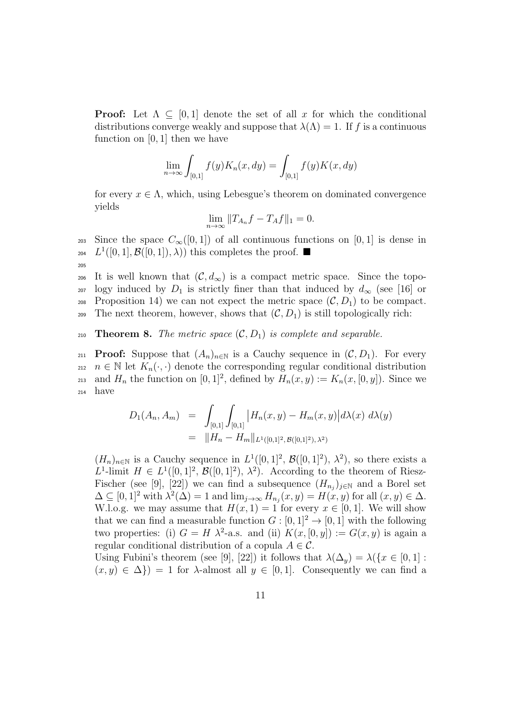**Proof:** Let  $\Lambda \subseteq [0,1]$  denote the set of all x for which the conditional distributions converge weakly and suppose that  $\lambda(\Lambda) = 1$ . If f is a continuous function on  $[0, 1]$  then we have

$$
\lim_{n \to \infty} \int_{[0,1]} f(y) K_n(x, dy) = \int_{[0,1]} f(y) K(x, dy)
$$

for every  $x \in \Lambda$ , which, using Lebesgue's theorem on dominated convergence yields

$$
\lim_{n \to \infty} ||T_{A_n}f - T_Af||_1 = 0.
$$

203 Since the space  $C_\infty([0,1])$  of all continuous functions on [0, 1] is dense in 204  $L^1([0,1], \mathcal{B}([0,1]), \lambda))$  this completes the proof. 205

206 It is well known that  $(C, d_{\infty})$  is a compact metric space. Since the topo-<sup>207</sup> logy induced by  $D_1$  is strictly finer than that induced by  $d_{\infty}$  (see [16] or 208 Proposition 14) we can not expect the metric space  $(C, D_1)$  to be compact. 209 The next theorem, however, shows that  $(C, D_1)$  is still topologically rich:

210 **Theorem 8.** The metric space  $(C, D_1)$  is complete and separable.

211 **Proof:** Suppose that  $(A_n)_{n\in\mathbb{N}}$  is a Cauchy sequence in  $(C, D_1)$ . For every 212  $n \in \mathbb{N}$  let  $K_n(\cdot, \cdot)$  denote the corresponding regular conditional distribution 213 and  $H_n$  the function on  $[0,1]^2$ , defined by  $H_n(x,y) := K_n(x,[0,y])$ . Since we <sup>214</sup> have

$$
D_1(A_n, A_m) = \int_{[0,1]} \int_{[0,1]} |H_n(x, y) - H_m(x, y)| d\lambda(x) d\lambda(y)
$$
  
=  $||H_n - H_m||_{L^1([0,1]^2, \mathcal{B}([0,1]^2), \lambda^2)}$ 

 $(H_n)_{n\in\mathbb{N}}$  is a Cauchy sequence in  $L^1([0,1]^2, \mathcal{B}([0,1]^2), \lambda^2)$ , so there exists a L<sup>1</sup>-limit  $H \in L^1([0,1]^2, \mathcal{B}([0,1]^2), \lambda^2)$ . According to the theorem of Riesz-Fischer (see [9], [22]) we can find a subsequence  $(H_{n_j})_{j\in\mathbb{N}}$  and a Borel set  $\Delta \subseteq [0,1]^2$  with  $\lambda^2(\Delta) = 1$  and  $\lim_{j\to\infty} H_{n_j}(x,y) = H(x,y)$  for all  $(x,y) \in \Delta$ . W.l.o.g. we may assume that  $H(x, 1) = 1$  for every  $x \in [0, 1]$ . We will show that we can find a measurable function  $G : [0, 1]^2 \to [0, 1]$  with the following two properties: (i)  $G = H \lambda^2$ -a.s. and (ii)  $K(x, [0, y]) := G(x, y)$  is again a regular conditional distribution of a copula  $A \in \mathcal{C}$ .

Using Fubini's theorem (see [9], [22]) it follows that  $\lambda(\Delta_y) = \lambda({x \in [0,1]}:$  $(x, y) \in \Delta$ ) = 1 for  $\lambda$ -almost all  $y \in [0, 1]$ . Consequently we can find a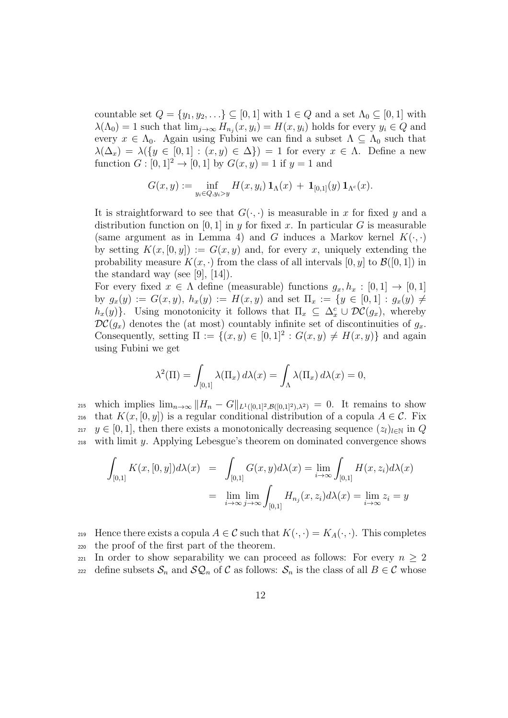countable set  $Q = \{y_1, y_2, \ldots\} \subseteq [0, 1]$  with  $1 \in Q$  and a set  $\Lambda_0 \subseteq [0, 1]$  with  $\lambda(\Lambda_0) = 1$  such that  $\lim_{j\to\infty} H_{n_j}(x, y_i) = H(x, y_i)$  holds for every  $y_i \in Q$  and every  $x \in \Lambda_0$ . Again using Fubini we can find a subset  $\Lambda \subseteq \Lambda_0$  such that  $\lambda(\Delta_x) = \lambda({y \in [0,1] : (x,y) \in \Delta}) = 1$  for every  $x \in \Lambda$ . Define a new function  $G : [0, 1]^2 \to [0, 1]$  by  $G(x, y) = 1$  if  $y = 1$  and

$$
G(x,y) := \inf_{y_i \in Q, y_i > y} H(x,y_i) \mathbf{1}_{\Lambda}(x) + \mathbf{1}_{[0,1]}(y) \mathbf{1}_{\Lambda^c}(x).
$$

It is straightforward to see that  $G(\cdot, \cdot)$  is measurable in x for fixed y and a distribution function on [0, 1] in y for fixed x. In particular G is measurable (same argument as in Lemma 4) and G induces a Markov kernel  $K(\cdot, \cdot)$ by setting  $K(x, [0, y]) := G(x, y)$  and, for every x, uniquely extending the probability measure  $K(x, \cdot)$  from the class of all intervals  $[0, y]$  to  $\mathcal{B}([0, 1])$  in the standard way (see [9],  $[14]$ ).

For every fixed  $x \in \Lambda$  define (measurable) functions  $g_x, h_x : [0, 1] \to [0, 1]$ by  $g_x(y) := G(x, y)$ ,  $h_x(y) := H(x, y)$  and set  $\Pi_x := \{y \in [0, 1] : g_x(y) \neq 0\}$  $h_x(y)$ . Using monotonicity it follows that  $\Pi_x \subseteq \Delta_x^c \cup \mathcal{DC}(g_x)$ , whereby  $DC(g_x)$  denotes the (at most) countably infinite set of discontinuities of  $g_x$ . Consequently, setting  $\Pi := \{(x, y) \in [0, 1]^2 : G(x, y) \neq H(x, y)\}\$ and again using Fubini we get

$$
\lambda^{2}(\Pi) = \int_{[0,1]} \lambda(\Pi_{x}) d\lambda(x) = \int_{\Lambda} \lambda(\Pi_{x}) d\lambda(x) = 0,
$$

215 which implies  $\lim_{n\to\infty}||H_n - G||_{L^1([0,1]^2,\mathcal{B}([0,1]^2),\lambda^2)} = 0$ . It remains to show 216 that  $K(x, [0, y])$  is a regular conditional distribution of a copula  $A \in \mathcal{C}$ . Fix 217  $y \in [0, 1]$ , then there exists a monotonically decreasing sequence  $(z_l)_{l \in \mathbb{N}}$  in Q <sup>218</sup> with limit y. Applying Lebesgue's theorem on dominated convergence shows

$$
\int_{[0,1]} K(x,[0,y])d\lambda(x) = \int_{[0,1]} G(x,y)d\lambda(x) = \lim_{i \to \infty} \int_{[0,1]} H(x,z_i)d\lambda(x)
$$

$$
= \lim_{i \to \infty} \lim_{j \to \infty} \int_{[0,1]} H_{n_j}(x,z_i)d\lambda(x) = \lim_{i \to \infty} z_i = y
$$

219 Hence there exists a copula  $A \in \mathcal{C}$  such that  $K(\cdot, \cdot) = K_A(\cdot, \cdot)$ . This completes <sup>220</sup> the proof of the first part of the theorem.

221 In order to show separability we can proceed as follows: For every  $n \geq 2$ 222 define subsets  $S_n$  and  $\mathcal{SQ}_n$  of C as follows:  $S_n$  is the class of all  $B \in \mathcal{C}$  whose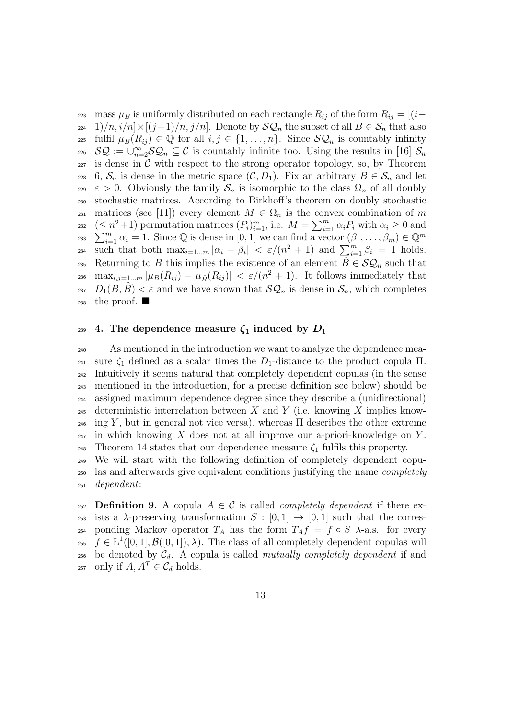223 mass  $\mu_B$  is uniformly distributed on each rectangle  $R_{ij}$  of the form  $R_{ij} = [(i-\mu_E)^2]$  $224 \quad 1)/n$ ,  $i/n \times [(j-1)/n, j/n]$ . Denote by  $\mathcal{SQ}_n$  the subset of all  $B \in \mathcal{S}_n$  that also <sup>225</sup> fulfil  $\mu_B(R_{ij}) \in \mathbb{Q}$  for all  $i, j \in \{1, ..., n\}$ . Since  $\mathcal{SQ}_n$  is countably infinity 226  $\mathcal{SQ} := \bigcup_{n=2}^{\infty} \mathcal{SQ}_n \subseteq \mathcal{C}$  is countably infinite too. Using the results in [16]  $\mathcal{S}_n$  $227$  is dense in C with respect to the strong operator topology, so, by Theorem 228 6,  $S_n$  is dense in the metric space  $(C, D_1)$ . Fix an arbitrary  $B \in S_n$  and let  $229 \quad \varepsilon > 0$ . Obviously the family  $S_n$  is isomorphic to the class  $\Omega_n$  of all doubly <sup>230</sup> stochastic matrices. According to Birkhoff's theorem on doubly stochastic 231 matrices (see [11]) every element  $M \in \Omega_n$  is the convex combination of m  $(\leq n^2+1)$  permutation matrices  $(P_i)_{i=1}^m$ , i.e.  $M = \sum_{i=1}^m \alpha_i P_i$  with  $\alpha_i \geq 0$  and 232 <sup>233</sup>  $\sum_{i=1}^{m} \alpha_i = 1$ . Since Q is dense in [0, 1] we can find a vector  $(\beta_1, \ldots, \beta_m) \in \mathbb{Q}^m$ such that both  $\max_{i=1...m} |\alpha_i - \beta_i| < \varepsilon/(n^2+1)$  and  $\sum_{i=1}^m \beta_i = 1$  holds. 235 Returning to B this implies the existence of an element  $\hat{B} \in \mathcal{SQ}_n$  such that <sup>236</sup> max<sub>i,j=1.</sub>..m  $|\mu_B(R_{ij}) - \mu_{\hat{B}}(R_{ij})| < \varepsilon/(n^2+1)$ . It follows immediately that <sup>237</sup>  $D_1(B, \hat{B}) < \varepsilon$  and we have shown that  $\mathcal{SQ}_n$  is dense in  $\mathcal{S}_n$ , which completes  $238$  the proof.

#### 239 4. The dependence measure  $\zeta_1$  induced by  $D_1$

<sup>240</sup> As mentioned in the introduction we want to analyze the dependence mea-241 sure  $\zeta_1$  defined as a scalar times the D<sub>1</sub>-distance to the product copula  $\Pi$ . <sup>242</sup> Intuitively it seems natural that completely dependent copulas (in the sense <sup>243</sup> mentioned in the introduction, for a precise definition see below) should be <sup>244</sup> assigned maximum dependence degree since they describe a (unidirectional) 245 deterministic interrelation between X and Y (i.e. knowing X implies know-<sup>246</sup> ing Y, but in general not vice versa), whereas  $\Pi$  describes the other extreme  $_{247}$  in which knowing X does not at all improve our a-priori-knowledge on Y. 248 Theorem 14 states that our dependence measure  $\zeta_1$  fulfils this property.

<sup>249</sup> We will start with the following definition of completely dependent copu-<sup>250</sup> las and afterwards give equivalent conditions justifying the name completely <sup>251</sup> dependent:

252 **Definition 9.** A copula  $A \in \mathcal{C}$  is called *completely dependent* if there ex-253 ists a  $\lambda$ -preserving transformation  $S : [0, 1] \rightarrow [0, 1]$  such that the corres-254 ponding Markov operator  $T_A$  has the form  $T_A f = f \circ S$   $\lambda$ -a.s. for every <sup>255</sup>  $f \in L^1([0,1], \mathcal{B}([0,1]), \lambda)$ . The class of all completely dependent copulas will  $256$  be denoted by  $C_d$ . A copula is called mutually completely dependent if and <sup>257</sup> only if  $A, A^T \in \mathcal{C}_d$  holds.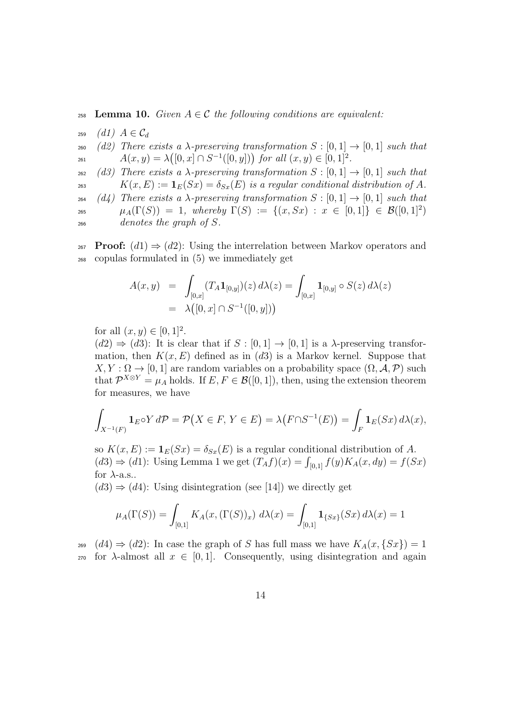258 **Lemma 10.** Given  $A \in \mathcal{C}$  the following conditions are equivalent:

259  $(d1)$   $A \in \mathcal{C}_d$ 

260 (d2) There exists a  $\lambda$ -preserving transformation  $S : [0,1] \rightarrow [0,1]$  such that  $A(x, y) = \lambda([0, x] \cap S^{-1}([0, y]))$  for all  $(x, y) \in [0, 1]^2$ .

262 (d3) There exists a  $\lambda$ -preserving transformation  $S : [0,1] \rightarrow [0,1]$  such that 263  $K(x, E) := \mathbf{1}_E(Sx) = \delta_{Sx}(E)$  is a regular conditional distribution of A.

264 (d4) There exists a  $\lambda$ -preserving transformation  $S : [0, 1] \rightarrow [0, 1]$  such that 265  $\mu_A(\Gamma(S)) = 1$ , whereby  $\Gamma(S) := \{(x, Sx) : x \in [0,1]\} \in \mathcal{B}([0,1]^2)$ 

<sup>266</sup> denotes the graph of S.

267 **Proof:**  $(d1) \Rightarrow (d2)$ : Using the interrelation between Markov operators and <sup>268</sup> copulas formulated in (5) we immediately get

$$
A(x,y) = \int_{[0,x]} (T_A \mathbf{1}_{[0,y]})(z) d\lambda(z) = \int_{[0,x]} \mathbf{1}_{[0,y]} \circ S(z) d\lambda(z)
$$
  
=  $\lambda([0,x] \cap S^{-1}([0,y]))$ 

for all  $(x, y) \in [0, 1]^2$ .

 $(d2) \Rightarrow (d3)$ : It is clear that if  $S : [0,1] \rightarrow [0,1]$  is a  $\lambda$ -preserving transformation, then  $K(x, E)$  defined as in (d3) is a Markov kernel. Suppose that  $X, Y: \Omega \to [0, 1]$  are random variables on a probability space  $(\Omega, \mathcal{A}, \mathcal{P})$  such that  $\mathcal{P}^{X \otimes Y} = \mu_A$  holds. If  $E, F \in \mathcal{B}([0,1])$ , then, using the extension theorem for measures, we have

$$
\int_{X^{-1}(F)} \mathbf{1}_E \circ Y \, d\mathcal{P} = \mathcal{P}\big(X \in F, \, Y \in E\big) = \lambda\big(F \cap S^{-1}(E)\big) = \int_F \mathbf{1}_E(Sx) \, d\lambda(x),
$$

so  $K(x, E) := \mathbf{1}_E(Sx) = \delta_{Sx}(E)$  is a regular conditional distribution of A.  $(d3) \Rightarrow (d1)$ : Using Lemma 1 we get  $(T_A f)(x) = \int_{[0,1]} f(y) K_A(x, dy) = f(Sx)$ for  $\lambda$ -a.s..

 $(d3) \Rightarrow (d4)$ : Using disintegration (see [14]) we directly get

$$
\mu_A(\Gamma(S)) = \int_{[0,1]} K_A(x, (\Gamma(S))_x) \ d\lambda(x) = \int_{[0,1]} \mathbf{1}_{\{Sx\}}(Sx) \ d\lambda(x) = 1
$$

<sub>269</sub>  $(d4) \Rightarrow (d2)$ : In case the graph of S has full mass we have  $K_A(x, \{Sx\}) = 1$ 270 for  $\lambda$ -almost all  $x \in [0, 1]$ . Consequently, using disintegration and again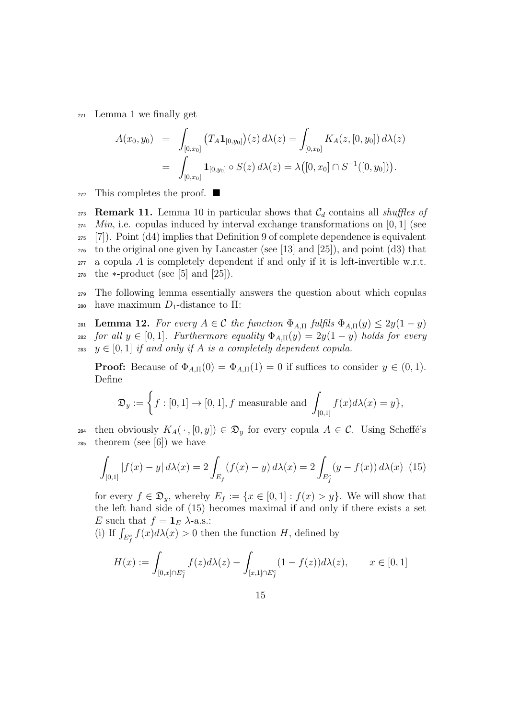<sup>271</sup> Lemma 1 we finally get

$$
A(x_0, y_0) = \int_{[0,x_0]} (T_A \mathbf{1}_{[0,y_0]})(z) d\lambda(z) = \int_{[0,x_0]} K_A(z, [0, y_0]) d\lambda(z)
$$
  
= 
$$
\int_{[0,x_0]} \mathbf{1}_{[0,y_0]} \circ S(z) d\lambda(z) = \lambda([0, x_0] \cap S^{-1}([0, y_0])).
$$

<sup>272</sup> This completes the proof.

273 Remark 11. Lemma 10 in particular shows that  $C_d$  contains all shuffles of Min, i.e. copulas induced by interval exchange transformations on [0, 1] (see  $_{275}$  [7]). Point (d4) implies that Definition 9 of complete dependence is equivalent to the original one given by Lancaster (see [13] and [25]), and point (d3) that a copula A is completely dependent if and only if it is left-invertible w.r.t. the  $\ast$ -product (see [5] and [25]).

<sup>279</sup> The following lemma essentially answers the question about which copulas 280 have maximum  $D_1$ -distance to  $\Pi$ :

281 Lemma 12. For every  $A \in \mathcal{C}$  the function  $\Phi_{A,\Pi}$  fulfils  $\Phi_{A,\Pi}(y) \leq 2y(1-y)$ 282 for all  $y \in [0,1]$ . Furthermore equality  $\Phi_{A,\Pi}(y) = 2y(1-y)$  holds for every 283  $y \in [0, 1]$  if and only if A is a completely dependent copula.

**Proof:** Because of  $\Phi_{A,\Pi}(0) = \Phi_{A,\Pi}(1) = 0$  if suffices to consider  $y \in (0,1)$ . Define

$$
\mathfrak{D}_y := \left\{ f : [0,1] \to [0,1], f \text{ measurable and } \int_{[0,1]} f(x) d\lambda(x) = y \right\},\
$$

284 then obviously  $K_A(\cdot,[0,y]) \in \mathfrak{D}_y$  for every copula  $A \in \mathcal{C}$ . Using Scheffé's  $285$  theorem (see [6]) we have

$$
\int_{[0,1]} |f(x) - y| d\lambda(x) = 2 \int_{E_f} (f(x) - y) d\lambda(x) = 2 \int_{E_f^c} (y - f(x)) d\lambda(x) \tag{15}
$$

for every  $f \in \mathfrak{D}_y$ , whereby  $E_f := \{x \in [0,1]: f(x) > y\}$ . We will show that the left hand side of (15) becomes maximal if and only if there exists a set E such that  $f = \mathbf{1}_E \lambda$ -a.s.:

(i) If  $\int_{E_f^c} f(x) d\lambda(x) > 0$  then the function H, defined by

$$
H(x) := \int_{[0,x] \cap E_f^c} f(z) d\lambda(z) - \int_{[x,1] \cap E_f^c} (1 - f(z)) d\lambda(z), \qquad x \in [0,1]
$$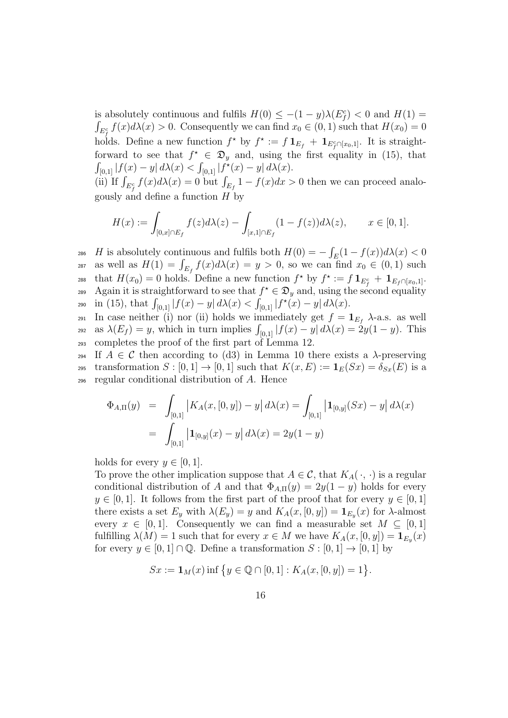is absolutely continuous and fulfils  $H(0) \leq -(1-y)\lambda(E_f^c) < 0$  and  $H(1) =$  $\int_{E_f^c} f(x) d\lambda(x) > 0$ . Consequently we can find  $x_0 \in (0, 1)$  such that  $H(x_0) = 0$ holds. Define a new function  $f^*$  by  $f^* := f 1_{E_f} + 1_{E_f^c \cap [x_0,1]}$ . It is straightforward to see that  $f^* \in \mathfrak{D}_y$  and, using the first equality in (15), that  $\int_{[0,1]} |f(x) - y| d\lambda(x) < \int_{[0,1]} |f^*(x) - y| d\lambda(x).$ 

(ii) If  $\int_{E_f^c} f(x) d\lambda(x) = 0$  but  $\int_{E_f} 1 - f(x) dx > 0$  then we can proceed analogously and define a function  $H$  by

$$
H(x) := \int_{[0,x] \cap E_f} f(z) d\lambda(z) - \int_{[x,1] \cap E_f} (1 - f(z)) d\lambda(z), \qquad x \in [0,1].
$$

286 H is absolutely continuous and fulfils both  $H(0) = -\int_E(1 - f(x))d\lambda(x) < 0$ <sup>287</sup> as well as  $H(1) = \int_{E_f} f(x) d\lambda(x) = y > 0$ , so we can find  $x_0 \in (0, 1)$  such 288 that  $H(x_0) = 0$  holds. Define a new function  $f^*$  by  $f^* := f \mathbf{1}_{E_f^c} + \mathbf{1}_{E_f \cap [x_0,1]}$ . 289 Again it is straightforward to see that  $f^* \in \mathfrak{D}_y$  and, using the second equality 290 in (15), that  $\int_{[0,1]} |f(x) - y| d\lambda(x) < \int_{[0,1]} |f^*(x) - y| d\lambda(x)$ .

291 In case neither (i) nor (ii) holds we immediately get  $f = \mathbf{1}_{E_f} \lambda$ -a.s. as well <sup>292</sup> as  $\lambda(E_f) = y$ , which in turn implies  $\int_{[0,1]} |f(x) - y| d\lambda(x) = 2y(1 - y)$ . This <sup>293</sup> completes the proof of the first part of Lemma 12.

294 If  $A \in \mathcal{C}$  then according to (d3) in Lemma 10 there exists a  $\lambda$ -preserving 295 transformation  $S : [0,1] \to [0,1]$  such that  $K(x, E) := \mathbf{1}_E(Sx) = \delta_{S_x}(E)$  is a <sup>296</sup> regular conditional distribution of A. Hence

$$
\Phi_{A,\Pi}(y) = \int_{[0,1]} |K_A(x,[0,y]) - y| d\lambda(x) = \int_{[0,1]} |{\bf 1}_{[0,y]}(Sx) - y| d\lambda(x)
$$

$$
= \int_{[0,1]} |{\bf 1}_{[0,y]}(x) - y| d\lambda(x) = 2y(1-y)
$$

holds for every  $y \in [0, 1]$ .

To prove the other implication suppose that  $A \in \mathcal{C}$ , that  $K_A(\cdot, \cdot)$  is a regular conditional distribution of A and that  $\Phi_{A,\Pi}(y) = 2y(1-y)$  holds for every  $y \in [0, 1]$ . It follows from the first part of the proof that for every  $y \in [0, 1]$ there exists a set  $E_y$  with  $\lambda(E_y) = y$  and  $K_A(x, [0, y]) = \mathbf{1}_{E_y}(x)$  for  $\lambda$ -almost every  $x \in [0,1]$ . Consequently we can find a measurable set  $M \subseteq [0,1]$ fulfilling  $\lambda(M) = 1$  such that for every  $x \in M$  we have  $K_A(x, [0, y]) = \mathbf{1}_{E_y}(x)$ for every  $y \in [0,1] \cap \mathbb{Q}$ . Define a transformation  $S : [0,1] \rightarrow [0,1]$  by

$$
Sx := \mathbf{1}_M(x)
$$
 inf  $\{y \in \mathbb{Q} \cap [0,1]: K_A(x,[0,y]) = 1\}.$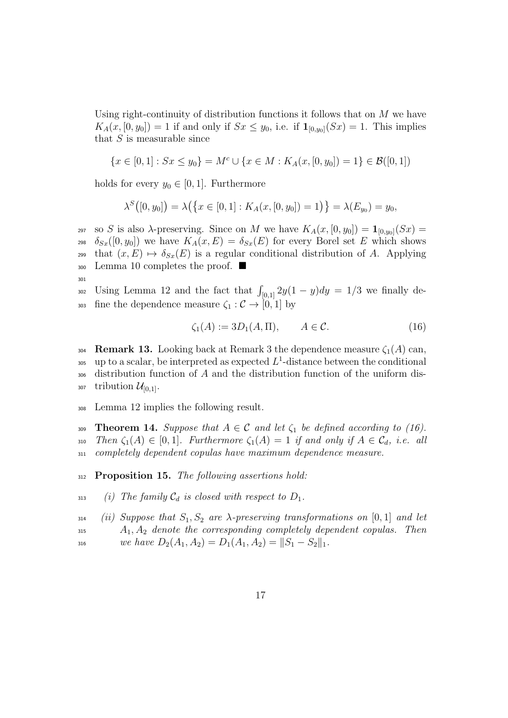Using right-continuity of distribution functions it follows that on  $M$  we have  $K_A(x, [0, y_0]) = 1$  if and only if  $S_x \leq y_0$ , i.e. if  $\mathbf{1}_{[0, y_0]}(S_x) = 1$ . This implies that  $S$  is measurable since

$$
\{x \in [0,1]: Sx \leq y_0\} = M^c \cup \{x \in M: K_A(x,[0,y_0]) = 1\} \in \mathcal{B}([0,1])
$$

holds for every  $y_0 \in [0, 1]$ . Furthermore

$$
\lambda^{S}([0, y_0]) = \lambda(\{x \in [0, 1] : K_A(x, [0, y_0]) = 1)\} = \lambda(E_{y_0}) = y_0,
$$

297 so S is also  $\lambda$ -preserving. Since on M we have  $K_A(x, [0, y_0]) = \mathbf{1}_{[0, y_0]}(S_x)$ 298  $\delta_{S_x}([0, y_0])$  we have  $K_A(x, E) = \delta_{S_x}(E)$  for every Borel set E which shows <sup>299</sup> that  $(x, E) \mapsto \delta_{S_x}(E)$  is a regular conditional distribution of A. Applying  $_{300}$  Lemma 10 completes the proof.

301

 $U\sin g$  Lemma 12 and the fact that  $\int_{[0,1]} 2y(1-y)dy = 1/3$  we finally de-303 fine the dependence measure  $\zeta_1 : \mathcal{C} \to [0,1]$  by

$$
\zeta_1(A) := 3D_1(A, \Pi), \qquad A \in \mathcal{C}.\tag{16}
$$

304 **Remark 13.** Looking back at Remark 3 the dependence measure  $\zeta_1(A)$  can, <sup>305</sup> up to a scalar, be interpreted as expected  $L^1$ -distance between the conditional <sup>306</sup> distribution function of A and the distribution function of the uniform dis-307 tribution  $\mathcal{U}_{[0,1]}$ .

<sup>308</sup> Lemma 12 implies the following result.

309 **Theorem 14.** Suppose that  $A \in \mathcal{C}$  and let  $\zeta_1$  be defined according to (16). 310 Then  $\zeta_1(A) \in [0,1]$ . Furthermore  $\zeta_1(A) = 1$  if and only if  $A \in \mathcal{C}_d$ , i.e. all <sup>311</sup> completely dependent copulas have maximum dependence measure.

312 **Proposition 15.** The following assertions hold:

313 (i) The family  $C_d$  is closed with respect to  $D_1$ .

 $314$  (ii) Suppose that  $S_1, S_2$  are  $\lambda$ -preserving transformations on [0, 1] and let  $A_1, A_2$  denote the corresponding completely dependent copulas. Then

316 we have  $D_2(A_1, A_2) = D_1(A_1, A_2) = ||S_1 - S_2||_1$ .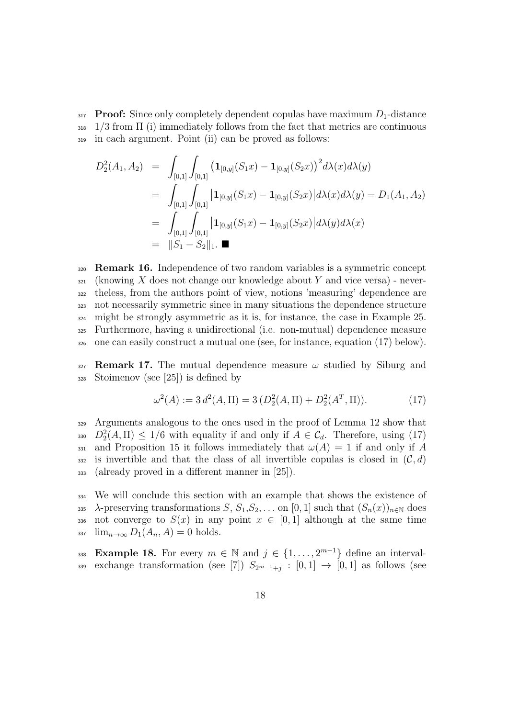$317$  **Proof:** Since only completely dependent copulas have maximum  $D_1$ -distance  $_{318}$  1/3 from  $\Pi$  (i) immediately follows from the fact that metrics are continuous <sup>319</sup> in each argument. Point (ii) can be proved as follows:

$$
D_2^2(A_1, A_2) = \int_{[0,1]} \int_{[0,1]} (\mathbf{1}_{[0,y]}(S_1x) - \mathbf{1}_{[0,y]}(S_2x))^2 d\lambda(x) d\lambda(y)
$$
  
\n
$$
= \int_{[0,1]} \int_{[0,1]} |\mathbf{1}_{[0,y]}(S_1x) - \mathbf{1}_{[0,y]}(S_2x)| d\lambda(x) d\lambda(y) = D_1(A_1, A_2)
$$
  
\n
$$
= \int_{[0,1]} \int_{[0,1]} |\mathbf{1}_{[0,y]}(S_1x) - \mathbf{1}_{[0,y]}(S_2x)| d\lambda(y) d\lambda(x)
$$
  
\n
$$
= ||S_1 - S_2||_1.
$$

 Remark 16. Independence of two random variables is a symmetric concept (knowing X does not change our knowledge about Y and vice versa) - never- theless, from the authors point of view, notions 'measuring' dependence are not necessarily symmetric since in many situations the dependence structure might be strongly asymmetric as it is, for instance, the case in Example 25. Furthermore, having a unidirectional (i.e. non-mutual) dependence measure one can easily construct a mutual one (see, for instance, equation (17) below).

 $327$  **Remark 17.** The mutual dependence measure  $\omega$  studied by Siburg and <sup>328</sup> Stoimenov (see [25]) is defined by

$$
\omega^2(A) := 3 d^2(A, \Pi) = 3 (D_2^2(A, \Pi) + D_2^2(A^T, \Pi)).
$$
 (17)

<sup>329</sup> Arguments analogous to the ones used in the proof of Lemma 12 show that 330  $D_2^2(A,\Pi) \leq 1/6$  with equality if and only if  $A \in \mathcal{C}_d$ . Therefore, using (17) 331 and Proposition 15 it follows immediately that  $\omega(A) = 1$  if and only if A 332 is invertible and that the class of all invertible copulas is closed in  $(C, d)$ <sup>333</sup> (already proved in a different manner in [25]).

<sup>334</sup> We will conclude this section with an example that shows the existence of 335  $\lambda$ -preserving transformations  $S, S_1, S_2, \ldots$  on [0, 1] such that  $(S_n(x))_{n\in\mathbb{N}}$  does 336 not converge to  $S(x)$  in any point  $x \in [0,1]$  although at the same time  $\lim_{n\to\infty} D_1(A_n, A) = 0$  holds.

338 Example 18. For every  $m \in \mathbb{N}$  and  $j \in \{1, ..., 2^{m-1}\}\$  define an interval-339 exchange transformation (see [7])  $S_{2^{m-1}+j} : [0,1] \rightarrow [0,1]$  as follows (see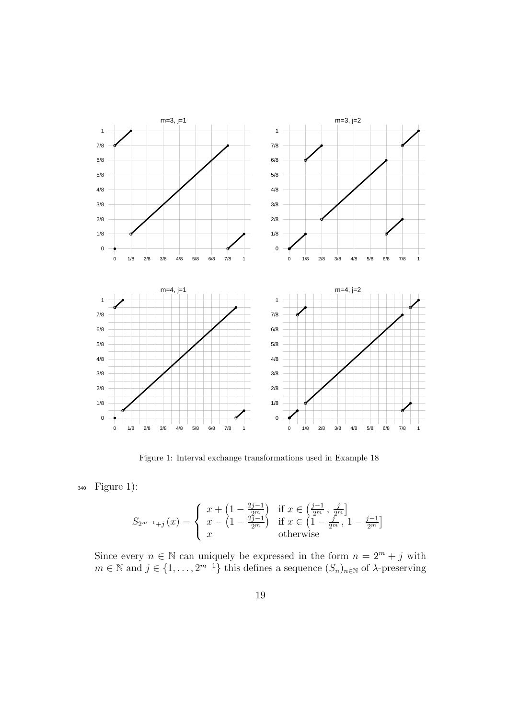

Figure 1: Interval exchange transformations used in Example 18

<sup>340</sup> Figure 1):

$$
S_{2^{m-1}+j}(x) = \begin{cases} x + \left(1 - \frac{2j-1}{2^m}\right) & \text{if } x \in \left(\frac{j-1}{2^m}, \frac{j}{2^m}\right] \\ x - \left(1 - \frac{2j-1}{2^m}\right) & \text{if } x \in \left(1 - \frac{j}{2^m}, 1 - \frac{j-1}{2^m}\right] \\ x & \text{otherwise} \end{cases}
$$

Since every  $n \in \mathbb{N}$  can uniquely be expressed in the form  $n = 2^m + j$  with  $m \in \mathbb{N}$  and  $j \in \{1, \ldots, 2^{m-1}\}\$  this defines a sequence  $(S_n)_{n \in \mathbb{N}}$  of  $\lambda$ -preserving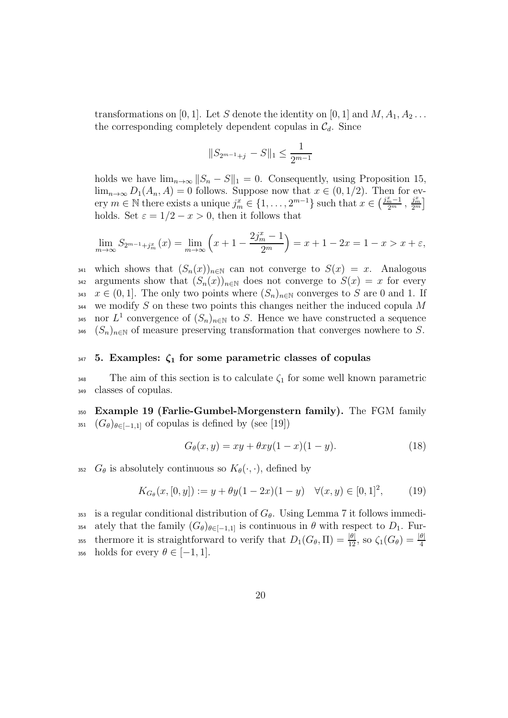transformations on [0, 1]. Let S denote the identity on [0, 1] and  $M, A_1, A_2 \ldots$ the corresponding completely dependent copulas in  $\mathcal{C}_d$ . Since

$$
||S_{2^{m-1}+j} - S||_1 \le \frac{1}{2^{m-1}}
$$

holds we have  $\lim_{n\to\infty}||S_n - S||_1 = 0$ . Consequently, using Proposition 15,  $\lim_{n\to\infty} D_1(A_n, A) = 0$  follows. Suppose now that  $x \in (0, 1/2)$ . Then for every  $m \in \mathbb{N}$  there exists a unique  $j_m^x \in \{1, \ldots, 2^{m-1}\}\$  such that  $x \in \left(\frac{j_m^x-1}{2^m}, \frac{j_m^x}{2^m}\right)$  $\frac{j_m^x}{2^m}$ holds. Set  $\varepsilon = 1/2 - x > 0$ , then it follows that

$$
\lim_{m \to \infty} S_{2^{m-1}+j_m^x}(x) = \lim_{m \to \infty} \left( x + 1 - \frac{2j_m^x - 1}{2^m} \right) = x + 1 - 2x = 1 - x > x + \varepsilon,
$$

341 which shows that  $(S_n(x))_{n\in\mathbb{N}}$  can not converge to  $S(x) = x$ . Analogous 342 arguments show that  $(S_n(x))_{n\in\mathbb{N}}$  does not converge to  $S(x) = x$  for every 343  $x \in (0, 1]$ . The only two points where  $(S_n)_{n \in \mathbb{N}}$  converges to S are 0 and 1. If  $344$  we modify S on these two points this changes neither the induced copula M 345 nor  $L^1$  convergence of  $(S_n)_{n\in\mathbb{N}}$  to S. Hence we have constructed a sequence 346  $(S_n)_{n\in\mathbb{N}}$  of measure preserving transformation that converges nowhere to S.

#### $347$  5. Examples:  $\zeta_1$  for some parametric classes of copulas

 $348$  The aim of this section is to calculate  $\zeta_1$  for some well known parametric <sup>349</sup> classes of copulas.

<sup>350</sup> Example 19 (Farlie-Gumbel-Morgenstern family). The FGM family 351  $(G_{\theta})_{\theta \in [-1,1]}$  of copulas is defined by (see [19])

$$
G_{\theta}(x, y) = xy + \theta xy(1 - x)(1 - y). \tag{18}
$$

352  $G_{\theta}$  is absolutely continuous so  $K_{\theta}(\cdot, \cdot)$ , defined by

$$
K_{G_{\theta}}(x,[0,y]) := y + \theta y(1-2x)(1-y) \quad \forall (x,y) \in [0,1]^2,
$$
 (19)

353 is a regular conditional distribution of  $G_{\theta}$ . Using Lemma 7 it follows immedi-354 ately that the family  $(G_{\theta})_{\theta \in [-1,1]}$  is continuous in  $\theta$  with respect to  $D_1$ . Furthermore it is straightforward to verify that  $D_1(G_\theta, \Pi) = \frac{|\theta|}{12}$ , so  $\zeta_1(G_\theta) = \frac{|\theta|}{4}$ 355 356 holds for every  $\theta \in [-1, 1]$ .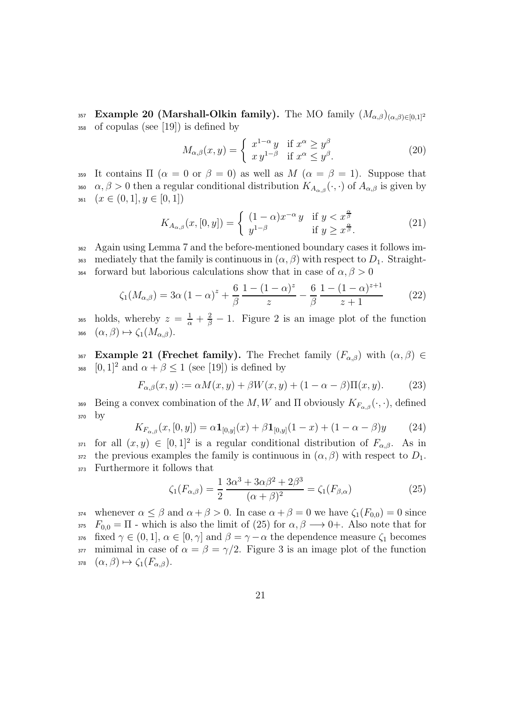<sup>357</sup> **Example 20 (Marshall-Olkin family).** The MO family  $(M_{\alpha,\beta})_{(\alpha,\beta)\in[0,1]^2}$ <sup>358</sup> of copulas (see [19]) is defined by

$$
M_{\alpha,\beta}(x,y) = \begin{cases} x^{1-\alpha}y & \text{if } x^{\alpha} \ge y^{\beta} \\ xy^{1-\beta} & \text{if } x^{\alpha} \le y^{\beta}. \end{cases}
$$
 (20)

359 It contains  $\Pi$  ( $\alpha = 0$  or  $\beta = 0$ ) as well as  $M$  ( $\alpha = \beta = 1$ ). Suppose that <sup>360</sup>  $\alpha, \beta > 0$  then a regular conditional distribution  $K_{A_{\alpha,\beta}}(\cdot,\cdot)$  of  $A_{\alpha,\beta}$  is given by 361  $(x \in (0, 1], y \in [0, 1])$ 

$$
K_{A_{\alpha,\beta}}(x,[0,y]) = \begin{cases} (1-\alpha)x^{-\alpha}y & \text{if } y < x^{\frac{\alpha}{\beta}}\\ y^{1-\beta} & \text{if } y \geq x^{\frac{\alpha}{\beta}}. \end{cases}
$$
(21)

<sup>362</sup> Again using Lemma 7 and the before-mentioned boundary cases it follows im-363 mediately that the family is continuous in  $(\alpha, \beta)$  with respect to  $D_1$ . Straight-364 forward but laborious calculations show that in case of  $\alpha, \beta > 0$ 

$$
\zeta_1(M_{\alpha,\beta}) = 3\alpha (1-\alpha)^z + \frac{6}{\beta} \frac{1 - (1-\alpha)^z}{z} - \frac{6}{\beta} \frac{1 - (1-\alpha)^{z+1}}{z+1}
$$
(22)

<sup>365</sup> holds, whereby  $z = \frac{1}{\alpha} + \frac{2}{\beta} - 1$ . Figure 2 is an image plot of the function з66  $(\alpha, \beta) \mapsto \zeta_1(M_{\alpha,\beta}).$ 

367 Example 21 (Frechet family). The Frechet family  $(F_{\alpha,\beta})$  with  $(\alpha,\beta) \in$ 368  $[0,1]^2$  and  $\alpha + \beta \leq 1$  (see [19]) is defined by

$$
F_{\alpha,\beta}(x,y) := \alpha M(x,y) + \beta W(x,y) + (1 - \alpha - \beta) \Pi(x,y). \tag{23}
$$

Being a convex combination of the M, W and  $\Pi$  obviously  $K_{F_{\alpha\beta}}(\cdot,\cdot)$ , defined <sup>370</sup> by

$$
K_{F_{\alpha,\beta}}(x,[0,y]) = \alpha \mathbf{1}_{[0,y]}(x) + \beta \mathbf{1}_{[0,y]}(1-x) + (1-\alpha-\beta)y \tag{24}
$$

371 for all  $(x, y) \in [0, 1]^2$  is a regular conditional distribution of  $F_{\alpha,\beta}$ . As in 372 the previous examples the family is continuous in  $(\alpha, \beta)$  with respect to  $D_1$ . <sup>373</sup> Furthermore it follows that

$$
\zeta_1(F_{\alpha,\beta}) = \frac{1}{2} \frac{3\alpha^3 + 3\alpha\beta^2 + 2\beta^3}{(\alpha + \beta)^2} = \zeta_1(F_{\beta,\alpha})
$$
\n(25)

374 whenever  $\alpha \leq \beta$  and  $\alpha + \beta > 0$ . In case  $\alpha + \beta = 0$  we have  $\zeta_1(F_{0,0}) = 0$  since 375  $F_{0,0} = \Pi$  - which is also the limit of (25) for  $\alpha, \beta \longrightarrow 0+$ . Also note that for 376 fixed  $\gamma \in (0, 1], \alpha \in [0, \gamma]$  and  $\beta = \gamma - \alpha$  the dependence measure  $\zeta_1$  becomes 377 mimimal in case of  $\alpha = \beta = \gamma/2$ . Figure 3 is an image plot of the function 378  $(\alpha, \beta) \mapsto \zeta_1(F_{\alpha, \beta}).$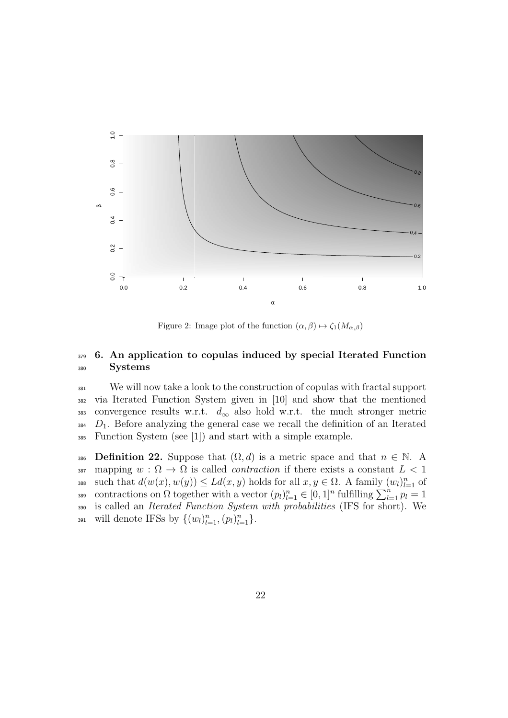

Figure 2: Image plot of the function  $(\alpha, \beta) \mapsto \zeta_1(M_{\alpha,\beta})$ 

# <sup>379</sup> 6. An application to copulas induced by special Iterated Function 380 Systems

 We will now take a look to the construction of copulas with fractal support via Iterated Function System given in [10] and show that the mentioned 383 convergence results w.r.t.  $d_{\infty}$  also hold w.r.t. the much stronger metric  $D_1$ . Before analyzing the general case we recall the definition of an Iterated Function System (see [1]) and start with a simple example.

386 Definition 22. Suppose that  $(\Omega, d)$  is a metric space and that  $n \in \mathbb{N}$ . A 387 mapping  $w : \Omega \to \Omega$  is called *contraction* if there exists a constant  $L < 1$ 388 such that  $d(w(x), w(y)) \le Ld(x, y)$  holds for all  $x, y \in \Omega$ . A family  $(w_l)_{l=1}^n$  of contractions on  $\Omega$  together with a vector  $(p_l)_{l=1}^n \in [0,1]^n$  fulfilling  $\sum_{l=1}^n p_l = 1$ <sup>390</sup> is called an Iterated Function System with probabilities (IFS for short). We 391 will denote IFSs by  $\{(w_l)_{l=1}^n, (p_l)_{l=1}^n\}$ .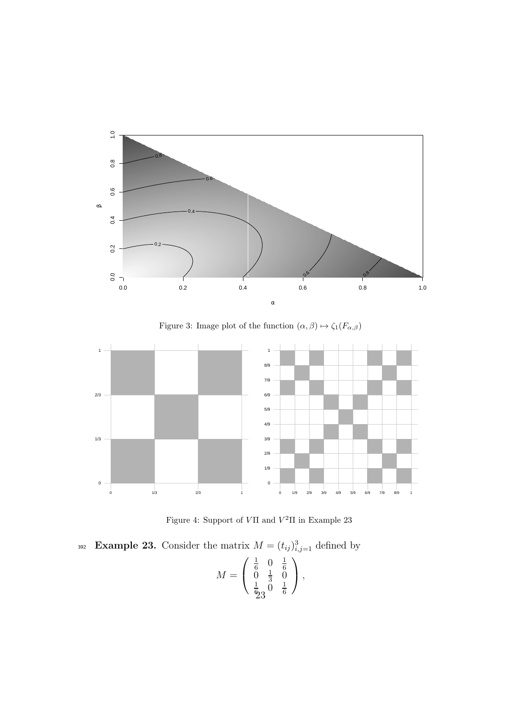

Figure 3: Image plot of the function  $(\alpha,\beta)\mapsto \zeta_1(F_{\alpha,\beta})$ 



Figure 4: Support of  $V\Pi$  and  $V^2\Pi$  in Example 23

392 Example 23. Consider the matrix  $M = (t_{ij})_{i,j=1}^3$  defined by  $M =$  $\sqrt{ }$  $\mathcal{L}$ 1  $\frac{1}{6}$  0  $\frac{1}{6}$  $\begin{matrix} 6 & 0 & 6 \\ 0 & \frac{1}{3} & 0 \end{matrix}$  $\frac{1}{3}$  0 1  $\frac{1}{6}$ ე  $\stackrel{\sim}{0}$   $\frac{1}{6}$ 6  $\setminus$  $\vert$ , 23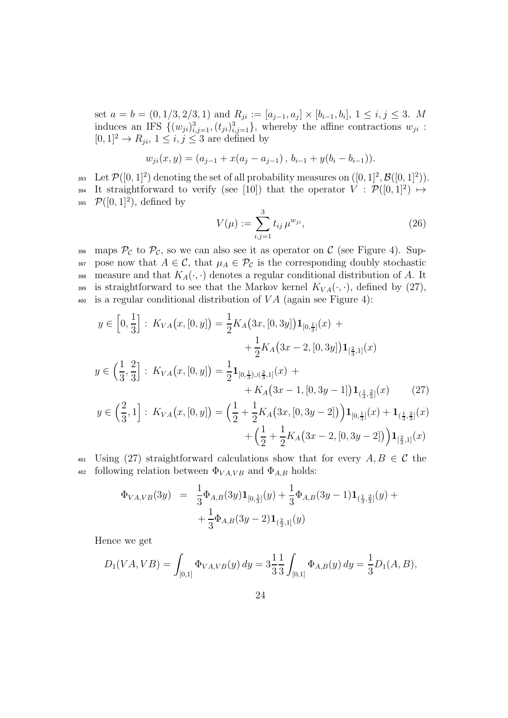set  $a = b = (0, 1/3, 2/3, 1)$  and  $R_{ji} := [a_{j-1}, a_j] \times [b_{i-1}, b_i]$ ,  $1 \le i, j \le 3$ . M induces an IFS  $\{(w_{ji})_{i,j=1}^3, (t_{ji})_{i,j=1}^3\}$ , whereby the affine contractions  $w_{ji}$ :  $[0, 1]^2 \rightarrow R_{ji}, 1 \leq i, j \leq 3$  are defined by

$$
w_{ji}(x, y) = (a_{j-1} + x(a_j - a_{j-1}), b_{i-1} + y(b_i - b_{i-1})).
$$

393 Let  $\mathcal{P}([0,1]^2)$  denoting the set of all probability measures on  $([0,1]^2,\mathcal{B}([0,1]^2)).$ 394 It straightforward to verify (see [10]) that the operator  $V : \mathcal{P}([0,1]^2) \mapsto$ 395  $\mathcal{P}([0,1]^2)$ , defined by

$$
V(\mu) := \sum_{i,j=1}^{3} t_{ij} \,\mu^{w_{ji}},\tag{26}
$$

396 maps  $\mathcal{P}_{\mathcal{C}}$  to  $\mathcal{P}_{\mathcal{C}}$ , so we can also see it as operator on  $\mathcal{C}$  (see Figure 4). Sup-397 pose now that  $A \in \mathcal{C}$ , that  $\mu_A \in \mathcal{P}_{\mathcal{C}}$  is the corresponding doubly stochastic 398 measure and that  $K_A(\cdot, \cdot)$  denotes a regular conditional distribution of A. It 399 is straightforward to see that the Markov kernel  $K_{VA}(\cdot, \cdot)$ , defined by (27),  $\frac{400}{400}$  is a regular conditional distribution of VA (again see Figure 4):

$$
y \in \left[0, \frac{1}{3}\right]: K_{VA}(x, [0, y]) = \frac{1}{2} K_A(3x, [0, 3y]) \mathbf{1}_{[0, \frac{1}{3}]}(x) + + \frac{1}{2} K_A(3x - 2, [0, 3y]) \mathbf{1}_{[\frac{2}{3}, 1]}(x) y \in \left(\frac{1}{3}, \frac{2}{3}\right]: K_{VA}(x, [0, y]) = \frac{1}{2} \mathbf{1}_{[0, \frac{1}{3}]\cup(\frac{2}{3}, 1]}(x) + + K_A(3x - 1, [0, 3y - 1]) \mathbf{1}_{(\frac{1}{3}, \frac{2}{3}]}(x)
$$
(27)

$$
y \in \left(\frac{2}{3}, 1\right]: K_{VA}(x, [0, y]) = \left(\frac{1}{2} + \frac{1}{2}K_A(3x, [0, 3y - 2])\right) \mathbf{1}_{[0, \frac{1}{3}]}(x) + \mathbf{1}_{(\frac{1}{3}, \frac{2}{3}]}(x) + \left(\frac{1}{2} + \frac{1}{2}K_A(3x - 2, [0, 3y - 2])\right) \mathbf{1}_{[\frac{2}{3}, 1]}(x)
$$

401 Using (27) straightforward calculations show that for every  $A, B \in \mathcal{C}$  the 402 following relation between  $\Phi_{VA,VB}$  and  $\Phi_{A,B}$  holds:

$$
\Phi_{VA,VB}(3y) = \frac{1}{3} \Phi_{A,B}(3y) \mathbf{1}_{[0,\frac{1}{3}]}(y) + \frac{1}{3} \Phi_{A,B}(3y-1) \mathbf{1}_{(\frac{1}{3},\frac{2}{3}]}(y) + \\ + \frac{1}{3} \Phi_{A,B}(3y-2) \mathbf{1}_{(\frac{2}{3},1]}(y)
$$

Hence we get

$$
D_1(VA, VB) = \int_{[0,1]} \Phi_{VA,VB}(y) \, dy = 3\frac{1}{3} \frac{1}{3} \int_{[0,1]} \Phi_{A,B}(y) \, dy = \frac{1}{3} D_1(A, B),
$$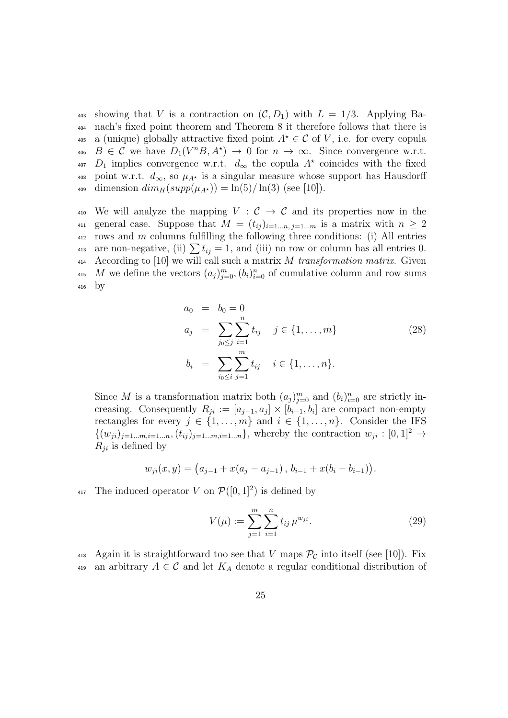403 showing that V is a contraction on  $(C, D_1)$  with  $L = 1/3$ . Applying Ba-<sup>404</sup> nach's fixed point theorem and Theorem 8 it therefore follows that there is 405 a (unique) globally attractive fixed point  $A^* \in \mathcal{C}$  of V, i.e. for every copula 406  $B \in \mathcal{C}$  we have  $D_1(V^nB, A^*) \to 0$  for  $n \to \infty$ . Since convergence w.r.t. <sup>407</sup>  $D_1$  implies convergence w.r.t.  $d_{\infty}$  the copula  $A^*$  coincides with the fixed 408 point w.r.t.  $d_{\infty}$ , so  $\mu_{A^*}$  is a singular measure whose support has Hausdorff 409 dimension  $dim_H(supp(\mu_{A^*})) = \ln(5)/\ln(3)$  (see [10]).

410 We will analyze the mapping  $V : \mathcal{C} \to \mathcal{C}$  and its properties now in the 411 general case. Suppose that  $M = (t_{ij})_{i=1...n, j=1...m}$  is a matrix with  $n \geq 2$  $412$  rows and m columns fulfilling the following three conditions: (i) All entries 413 are non-negative, (ii)  $\sum t_{ij} = 1$ , and (iii) no row or column has all entries 0.  $414$  According to [10] we will call such a matrix M transformation matrix. Given <sup>415</sup> M we define the vectors  $(a_j)_{j=0}^m, (b_i)_{i=0}^n$  of cumulative column and row sums  $416$  by

$$
a_0 = b_0 = 0
$$
  
\n
$$
a_j = \sum_{j_0 \le j} \sum_{i=1}^n t_{ij} \quad j \in \{1, ..., m\}
$$
  
\n
$$
b_i = \sum_{i_0 \le i} \sum_{j=1}^m t_{ij} \quad i \in \{1, ..., n\}.
$$
\n(28)

Since M is a transformation matrix both  $(a_j)_{j=0}^m$  and  $(b_i)_{i=0}^n$  are strictly increasing. Consequently  $R_{ji} := [a_{j-1}, a_j] \times [b_{i-1}, b_i]$  are compact non-empty rectangles for every  $j \in \{1, ..., m\}$  and  $i \in \{1, ..., n\}$ . Consider the IFS  $\{(w_{ji})_{j=1...m,i=1...n}, (t_{ij})_{j=1...m,i=1...n}\}$ , whereby the contraction  $w_{ji} : [0,1]^2 \rightarrow$  $R_{ii}$  is defined by

$$
w_{ji}(x, y) = (a_{j-1} + x(a_j - a_{j-1}), b_{i-1} + x(b_i - b_{i-1})).
$$

<sup>417</sup> The induced operator V on  $\mathcal{P}([0,1]^2)$  is defined by

$$
V(\mu) := \sum_{j=1}^{m} \sum_{i=1}^{n} t_{ij} \,\mu^{w_{ji}}.
$$
 (29)

418 Again it is straightforward too see that V maps  $\mathcal{P}_{\mathcal{C}}$  into itself (see [10]). Fix 419 an arbitrary  $A \in \mathcal{C}$  and let  $K_A$  denote a regular conditional distribution of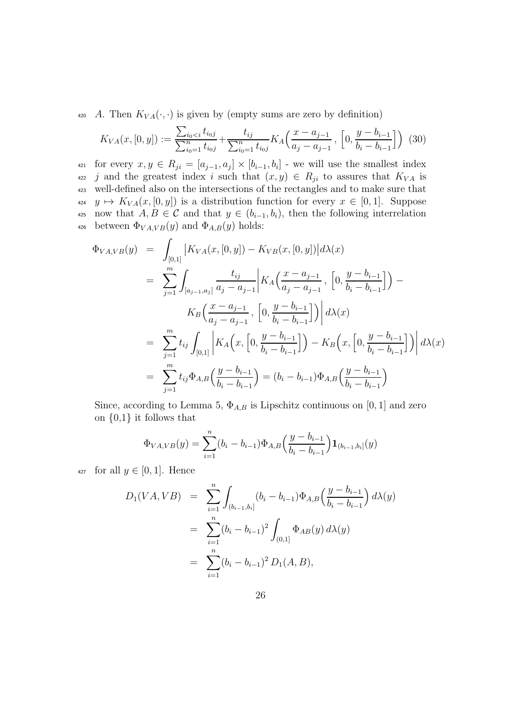420 A. Then  $K_{VA}(\cdot, \cdot)$  is given by (empty sums are zero by definition)

$$
K_{VA}(x, [0, y]) := \frac{\sum_{i_0 < i} t_{i_0 j}}{\sum_{i_0 = 1}^n t_{i_0 j}} + \frac{t_{ij}}{\sum_{i_0 = 1}^n t_{i_0 j}} K_A\left(\frac{x - a_{j-1}}{a_j - a_{j-1}}, \left[0, \frac{y - b_{i-1}}{b_i - b_{i-1}}\right]\right) (30)
$$

421 for every  $x, y \in R_{ji} = [a_{j-1}, a_j] \times [b_{i-1}, b_i]$  - we will use the smallest index 422 j and the greatest index i such that  $(x, y) \in R_{ji}$  to assures that  $K_{VA}$  is <sup>423</sup> well-defined also on the intersections of the rectangles and to make sure that  $\mu_{424}$   $y \mapsto K_{VA}(x, [0, y])$  is a distribution function for every  $x \in [0, 1]$ . Suppose 425 now that  $A, B \in \mathcal{C}$  and that  $y \in (b_{i-1}, b_i)$ , then the following interrelation 426 between  $\Phi_{VA,VB}(y)$  and  $\Phi_{A,B}(y)$  holds:

$$
\Phi_{VA,VB}(y) = \int_{[0,1]} |K_{VA}(x, [0, y]) - K_{VB}(x, [0, y])| d\lambda(x)
$$
\n
$$
= \sum_{j=1}^{m} \int_{[a_{j-1}, a_j]} \frac{t_{ij}}{a_j - a_{j-1}} \left| K_A \left( \frac{x - a_{j-1}}{a_j - a_{j-1}}, \left[ 0, \frac{y - b_{i-1}}{b_i - b_{i-1}} \right] \right) - K_B \left( \frac{x - a_{j-1}}{a_j - a_{j-1}}, \left[ 0, \frac{y - b_{i-1}}{b_i - b_{i-1}} \right] \right) \right| d\lambda(x)
$$
\n
$$
= \sum_{j=1}^{m} t_{ij} \int_{[0,1]} \left| K_A \left( x, \left[ 0, \frac{y - b_{i-1}}{b_i - b_{i-1}} \right] \right) - K_B \left( x, \left[ 0, \frac{y - b_{i-1}}{b_i - b_{i-1}} \right] \right) \right| d\lambda(x)
$$
\n
$$
= \sum_{j=1}^{m} t_{ij} \Phi_{A,B} \left( \frac{y - b_{i-1}}{b_i - b_{i-1}} \right) = (b_i - b_{i-1}) \Phi_{A,B} \left( \frac{y - b_{i-1}}{b_i - b_{i-1}} \right)
$$

Since, according to Lemma 5,  $\Phi_{A,B}$  is Lipschitz continuous on [0, 1] and zero on  $\{0,1\}$  it follows that

$$
\Phi_{VA,VB}(y) = \sum_{i=1}^{n} (b_i - b_{i-1}) \Phi_{A,B}\left(\frac{y - b_{i-1}}{b_i - b_{i-1}}\right) \mathbf{1}_{(b_{i-1}, b_i]}(y)
$$

427 for all  $y \in [0, 1]$ . Hence

$$
D_1(VA, VB) = \sum_{i=1}^n \int_{(b_{i-1}, b_i]} (b_i - b_{i-1}) \Phi_{A,B}\left(\frac{y - b_{i-1}}{b_i - b_{i-1}}\right) d\lambda(y)
$$
  
= 
$$
\sum_{i=1}^n (b_i - b_{i-1})^2 \int_{(0,1]} \Phi_{AB}(y) d\lambda(y)
$$
  
= 
$$
\sum_{i=1}^n (b_i - b_{i-1})^2 D_1(A, B),
$$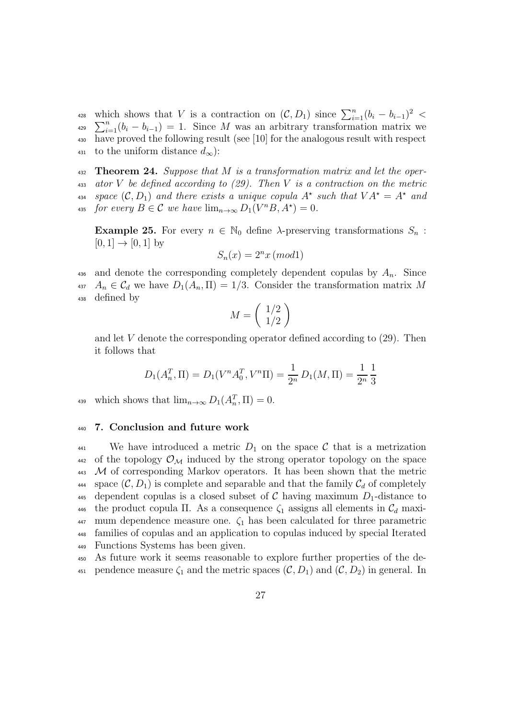which shows that V is a contraction on  $(C, D_1)$  since  $\sum_{i=1}^n (b_i - b_{i-1})^2$ which shows that V is a contraction on  $(C, D_1)$  since  $\sum_{i=1}^{n} (b_i - b_{i-1})^2 <$ <br>  $\sum_{i=1}^{n} (b_i - b_{i-1}) = 1$ . Since M was an arbitrary transformation matrix we <sup>430</sup> have proved the following result (see [10] for the analogous result with respect 431 to the uniform distance  $d_{\infty}$ :

432 **Theorem 24.** Suppose that M is a transformation matrix and let the oper-433 ator V be defined according to  $(29)$ . Then V is a contraction on the metric <sup>434</sup> space  $(C, D_1)$  and there exists a unique copula  $A^*$  such that  $VA^* = A^*$  and 435 for every  $B \in \mathcal{C}$  we have  $\lim_{n \to \infty} D_1(V^nB, A^*) = 0$ .

**Example 25.** For every  $n \in \mathbb{N}_0$  define  $\lambda$ -preserving transformations  $S_n$ :  $[0, 1] \to [0, 1]$  by

$$
S_n(x) = 2^n x \, (mod1)
$$

436 and denote the corresponding completely dependent copulas by  $A_n$ . Since 437  $A_n \in \mathcal{C}_d$  we have  $D_1(A_n, \Pi) = 1/3$ . Consider the transformation matrix M <sup>438</sup> defined by

$$
M = \left(\begin{array}{c} 1/2\\1/2 \end{array}\right)
$$

and let  $V$  denote the corresponding operator defined according to  $(29)$ . Then it follows that

$$
D_1(A_n^T, \Pi) = D_1(V^n A_0^T, V^n \Pi) = \frac{1}{2^n} D_1(M, \Pi) = \frac{1}{2^n} \frac{1}{3}
$$

439 which shows that  $\lim_{n\to\infty} D_1(A_n^T, \Pi) = 0.$ 

## <sup>440</sup> 7. Conclusion and future work

441 We have introduced a metric  $D_1$  on the space C that is a metrization  $442$  of the topology  $\mathcal{O}_\mathcal{M}$  induced by the strong operator topology on the space 443 M of corresponding Markov operators. It has been shown that the metric 444 space  $(C, D_1)$  is complete and separable and that the family  $C_d$  of completely 445 dependent copulas is a closed subset of C having maximum  $D_1$ -distance to 446 the product copula  $\Pi$ . As a consequence  $\zeta_1$  assigns all elements in  $\mathcal{C}_d$  maxi- $447$  mum dependence measure one.  $\zeta_1$  has been calculated for three parametric <sup>448</sup> families of copulas and an application to copulas induced by special Iterated <sup>449</sup> Functions Systems has been given.

<sup>450</sup> As future work it seems reasonable to explore further properties of the de-451 pendence measure  $\zeta_1$  and the metric spaces  $(\mathcal{C}, D_1)$  and  $(\mathcal{C}, D_2)$  in general. In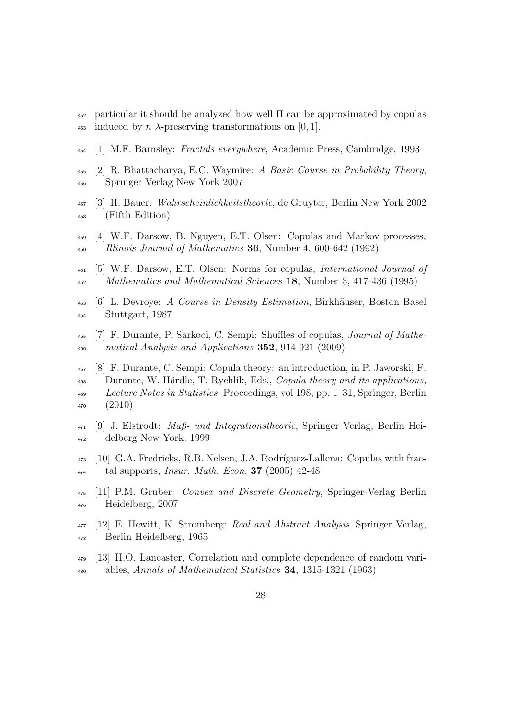- particular it should be analyzed how well Π can be approximated by copulas 453 induced by n  $\lambda$ -preserving transformations on [0, 1].
- [1] M.F. Barnsley: Fractals everywhere, Academic Press, Cambridge, 1993
- $_{455}$  [2] R. Bhattacharya, E.C. Waymire: A Basic Course in Probability Theory, Springer Verlag New York 2007
- [3] H. Bauer: Wahrscheinlichkeitstheorie, de Gruyter, Berlin New York 2002 (Fifth Edition)
- [4] W.F. Darsow, B. Nguyen, E.T. Olsen: Copulas and Markov processes, Illinois Journal of Mathematics 36, Number 4, 600-642 (1992)
- [5] W.F. Darsow, E.T. Olsen: Norms for copulas, International Journal of <sup>462</sup> Mathematics and Mathematical Sciences 18, Number 3, 417-436 (1995)
- $_{463}$  [6] L. Devroye: A Course in Density Estimation, Birkhäuser, Boston Basel Stuttgart, 1987
- [7] F. Durante, P. Sarkoci, C. Sempi: Shuffles of copulas, Journal of Mathe-matical Analysis and Applications 352, 914-921 (2009)
- [8] F. Durante, C. Sempi: Copula theory: an introduction, in P. Jaworski, F.  $\frac{468}{468}$  Durante, W. Härdle, T. Rychlik, Eds., *Copula theory and its applications*, Lecture Notes in Statistics–Proceedings, vol 198, pp. 1–31, Springer, Berlin (2010)
- $_{471}$  [9] J. Elstrodt: *Maß- und Integrationstheorie*, Springer Verlag, Berlin Hei-delberg New York, 1999
- $_{473}$  [10] G.A. Fredricks, R.B. Nelsen, J.A. Rodríguez-Lallena: Copulas with frac- $_{474}$  tal supports, *Insur. Math. Econ.* **37** (2005) 42-48
- [11] P.M. Gruber: Convex and Discrete Geometry, Springer-Verlag Berlin Heidelberg, 2007
- $_{477}$  [12] E. Hewitt, K. Stromberg: Real and Abstract Analysis, Springer Verlag, Berlin Heidelberg, 1965
- [13] H.O. Lancaster, Correlation and complete dependence of random vari-480 ables, Annals of Mathematical Statistics , 1315-1321 (1963)